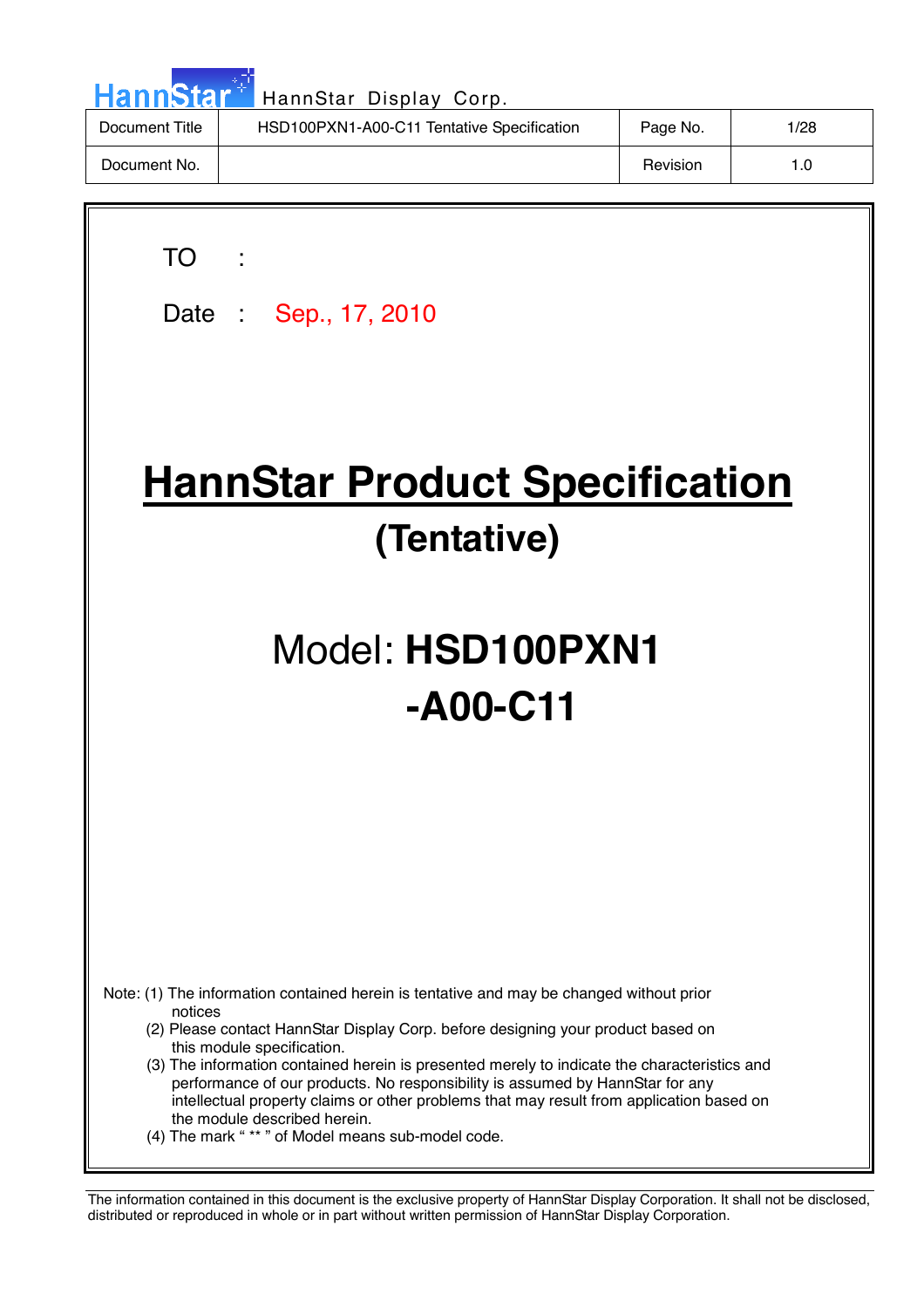| HannStar <sup>*</sup> | HannStar Display Corp.                     |          |      |
|-----------------------|--------------------------------------------|----------|------|
| Document Title        | HSD100PXN1-A00-C11 Tentative Specification | Page No. | 1/28 |
| Document No.          |                                            | Revision | 1.0  |

╗

 $\overline{\phantom{a}}$ 

| TO<br>Date: Sep., 17, 2010                                                                                                                                                                                                                                                                                                                                                                                                                                                                                                                                                              |  |  |  |  |  |
|-----------------------------------------------------------------------------------------------------------------------------------------------------------------------------------------------------------------------------------------------------------------------------------------------------------------------------------------------------------------------------------------------------------------------------------------------------------------------------------------------------------------------------------------------------------------------------------------|--|--|--|--|--|
| <b>HannStar Product Specification</b><br>(Tentative)                                                                                                                                                                                                                                                                                                                                                                                                                                                                                                                                    |  |  |  |  |  |
| Model: HSD100PXN1<br>$-A00-C11$                                                                                                                                                                                                                                                                                                                                                                                                                                                                                                                                                         |  |  |  |  |  |
|                                                                                                                                                                                                                                                                                                                                                                                                                                                                                                                                                                                         |  |  |  |  |  |
| Note: (1) The information contained herein is tentative and may be changed without prior<br>notices<br>(2) Please contact HannStar Display Corp. before designing your product based on<br>this module specification.<br>(3) The information contained herein is presented merely to indicate the characteristics and<br>performance of our products. No responsibility is assumed by HannStar for any<br>intellectual property claims or other problems that may result from application based on<br>the module described herein.<br>(4) The mark "** " of Model means sub-model code. |  |  |  |  |  |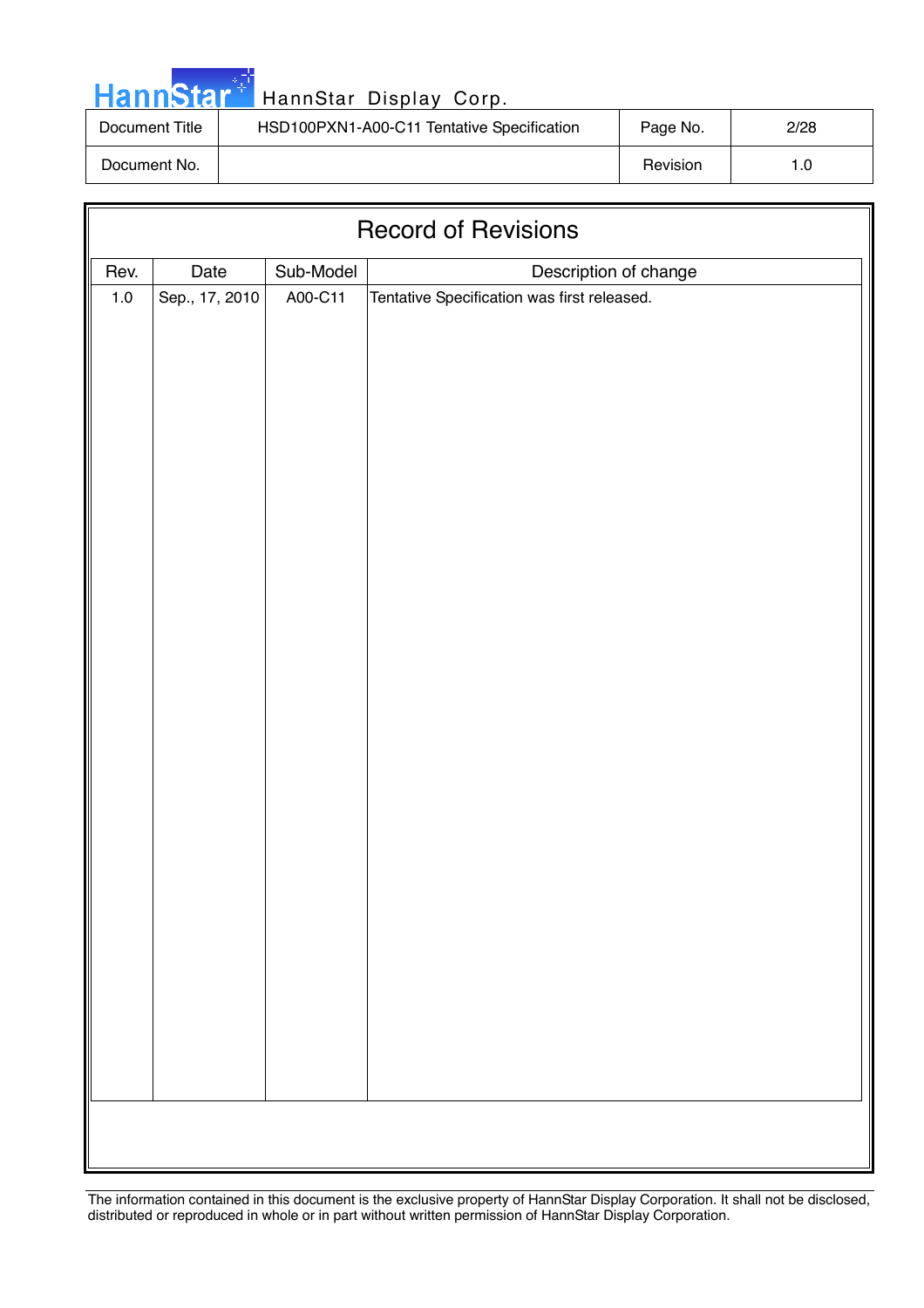|  |  | <b>HannStar</b> |  |
|--|--|-----------------|--|
|  |  |                 |  |
|  |  |                 |  |

| Document Title | HSD100PXN1-A00-C11 Tentative Specification | Page No. | 2/28 |
|----------------|--------------------------------------------|----------|------|
| Document No.   |                                            | Revision |      |

| <b>Record of Revisions</b> |                |           |                                                                      |  |  |
|----------------------------|----------------|-----------|----------------------------------------------------------------------|--|--|
| Rev.                       | Date           | Sub-Model |                                                                      |  |  |
| $1.0\,$                    | Sep., 17, 2010 | A00-C11   | Description of change<br>Tentative Specification was first released. |  |  |
|                            |                |           |                                                                      |  |  |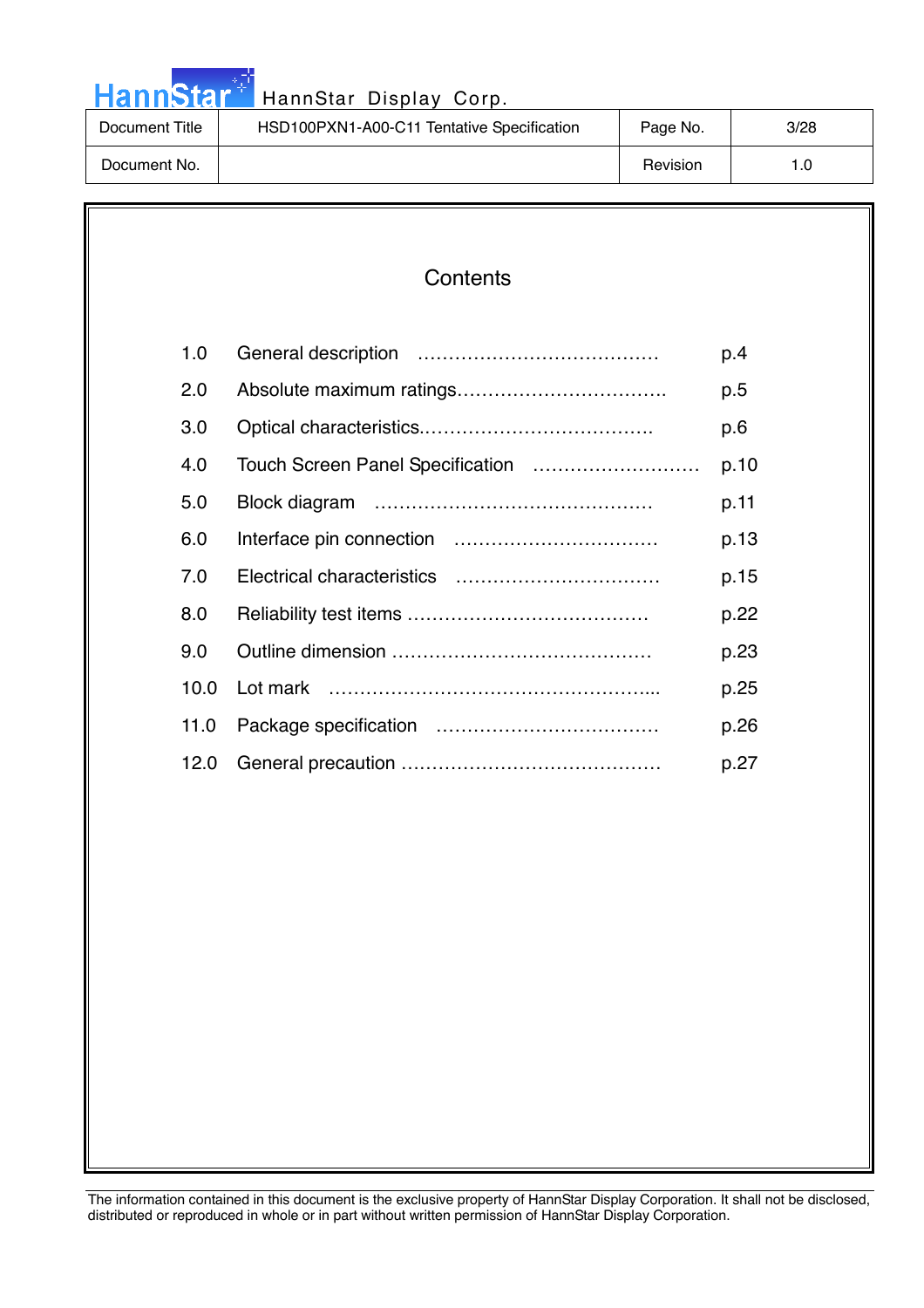|  |  | <b>HannStar</b> |  |
|--|--|-----------------|--|
|  |  |                 |  |
|  |  |                 |  |

| Document Title | HSD100PXN1-A00-C11 Tentative Specification | Page No. | 3/28 |
|----------------|--------------------------------------------|----------|------|
| Document No.   |                                            | Revision | ∣.0  |

### **Contents**

| 1.0               | p.4  |
|-------------------|------|
| 2.0               | p.5  |
| 3.0               | p.6  |
| 4.0               | p.10 |
| 5.0               | p.11 |
| 6.0               | p.13 |
| 7.0               | p.15 |
| 8.0               | p.22 |
| 9.0               | p.23 |
| 10.0 <sub>1</sub> | p.25 |
| 11.0              | p.26 |
| 12.0              | p.27 |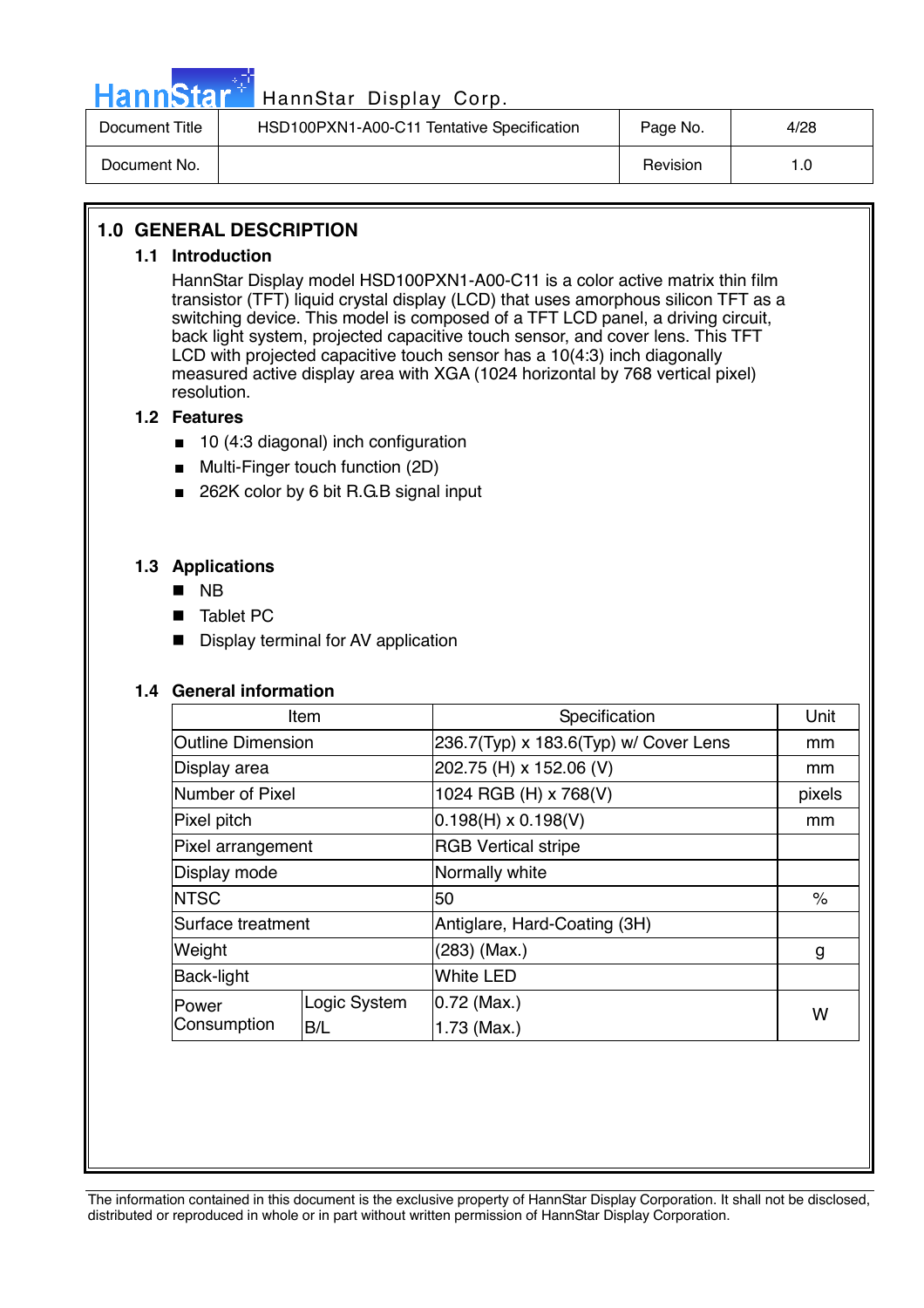

| Document Title | HSD100PXN1-A00-C11 Tentative Specification | Page No. | 4/28 |
|----------------|--------------------------------------------|----------|------|
| Document No.   |                                            | Revision | l .O |

#### **1.0 GENERAL DESCRIPTION**

#### **1.1 Introduction**

HannStar Display model HSD100PXN1-A00-C11 is a color active matrix thin film transistor (TFT) liquid crystal display (LCD) that uses amorphous silicon TFT as a switching device. This model is composed of a TFT LCD panel, a driving circuit, back light system, projected capacitive touch sensor, and cover lens. This TFT LCD with projected capacitive touch sensor has a 10(4:3) inch diagonally measured active display area with XGA (1024 horizontal by 768 vertical pixel) resolution.

#### **1.2 Features**

- 10 (4:3 diagonal) inch configuration
- Multi-Finger touch function (2D)
- 262K color by 6 bit R.G.B signal input

#### **1.3 Applications**

- $\blacksquare$  NB
- Tablet PC
- **Display terminal for AV application**

#### **1.4 General information**

| Item                                        |  | Specification                         | Unit   |
|---------------------------------------------|--|---------------------------------------|--------|
| <b>Outline Dimension</b>                    |  | 236.7(Typ) x 183.6(Typ) w/ Cover Lens | mm     |
| Display area                                |  | 202.75 (H) x 152.06 (V)               | mm     |
| Number of Pixel                             |  | 1024 RGB (H) x 768(V)                 | pixels |
| Pixel pitch                                 |  | $0.198(H) \times 0.198(V)$            | mm     |
| Pixel arrangement                           |  | <b>RGB Vertical stripe</b>            |        |
| Display mode                                |  | Normally white                        |        |
| <b>NTSC</b>                                 |  | 50                                    | $\%$   |
| Surface treatment                           |  | Antiglare, Hard-Coating (3H)          |        |
| Weight                                      |  | (283) (Max.)                          | g      |
| Back-light                                  |  | <b>White LED</b>                      |        |
| Logic System<br>Power<br>Consumption<br>B/L |  | $0.72$ (Max.)                         |        |
|                                             |  | 1.73 (Max.)                           | W      |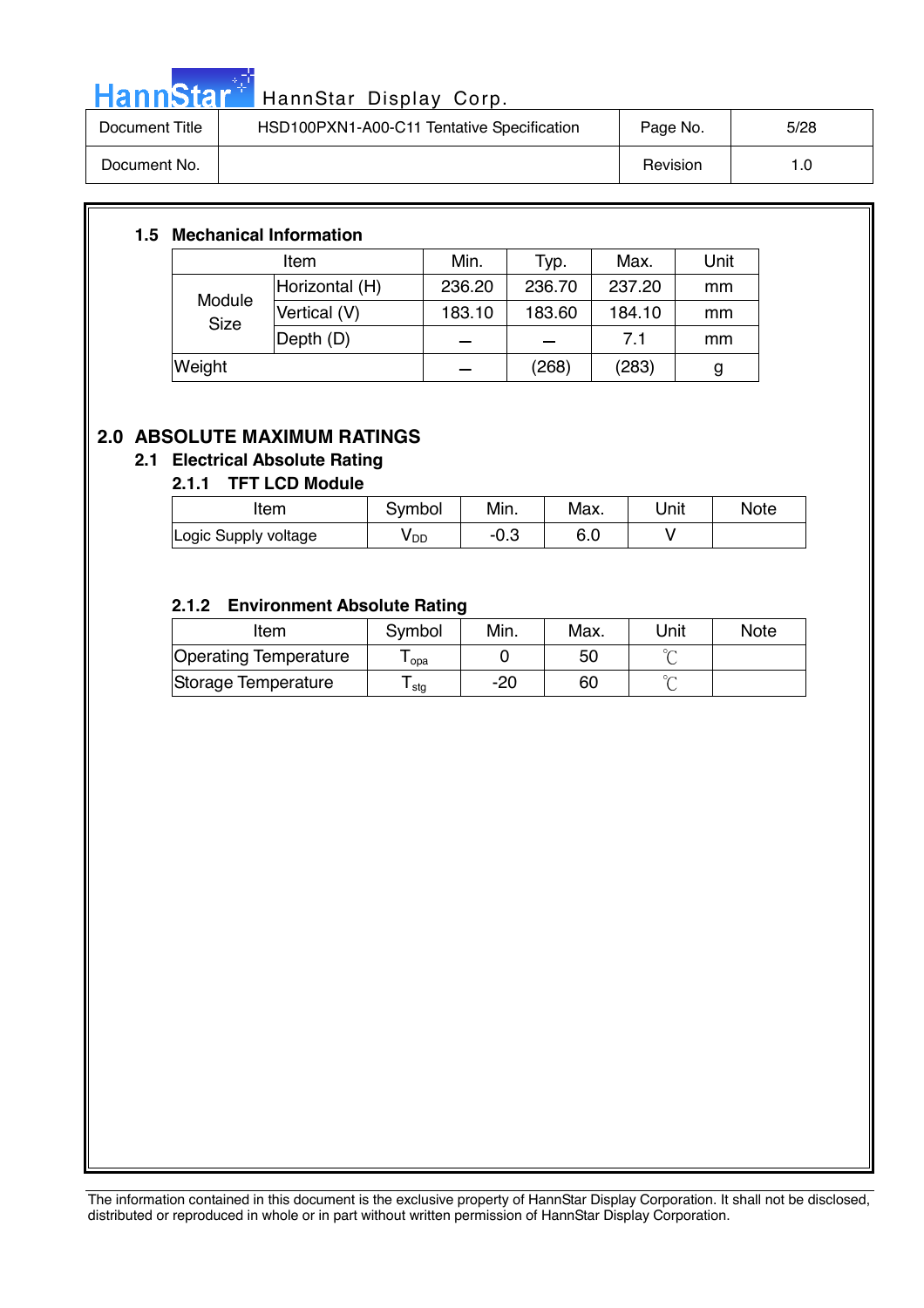

# HannStar<sup>t HannStar Display Corp.</sup> 2006. 2007.

| Document Title | HSD100PXN1-A00-C11 Tentative Specification | Page No. | 5/28 |
|----------------|--------------------------------------------|----------|------|
| Document No.   |                                            | Revision | 1.0  |

#### **1.5 Mechanical Information**

| Item                  |                          | Min.   | Typ.   | Max.   | Unit |
|-----------------------|--------------------------|--------|--------|--------|------|
| Module<br><b>Size</b> | Horizontal (H)           | 236.20 | 236.70 | 237.20 | mm   |
|                       | Vertical (V)             | 183.10 | 183.60 | 184.10 | mm   |
|                       | $\vert$ Depth $\vert$ D) |        |        | 7.1    | mm   |
| Weight                |                          |        | (268)  | (283)  | g    |

#### **2.0 ABSOLUTE MAXIMUM RATINGS**

#### **2.1 Electrical Absolute Rating**

#### **2.1.1 TFT LCD Module**

| ltem                 | Svmbol          | Min. | Max. | Unit | <b>Note</b> |
|----------------------|-----------------|------|------|------|-------------|
| Logic Supply voltage | y <sub>DD</sub> | ∴∪-  | 6.0  |      |             |

#### **2.1.2 Environment Absolute Rating**

| Item                  | Symbol           | Min. | Max. | Unit | <b>Note</b> |
|-----------------------|------------------|------|------|------|-------------|
| Operating Temperature | opa              |      | 50   |      |             |
| Storage Temperature   | <sup>l</sup> stg | -20  | 60   |      |             |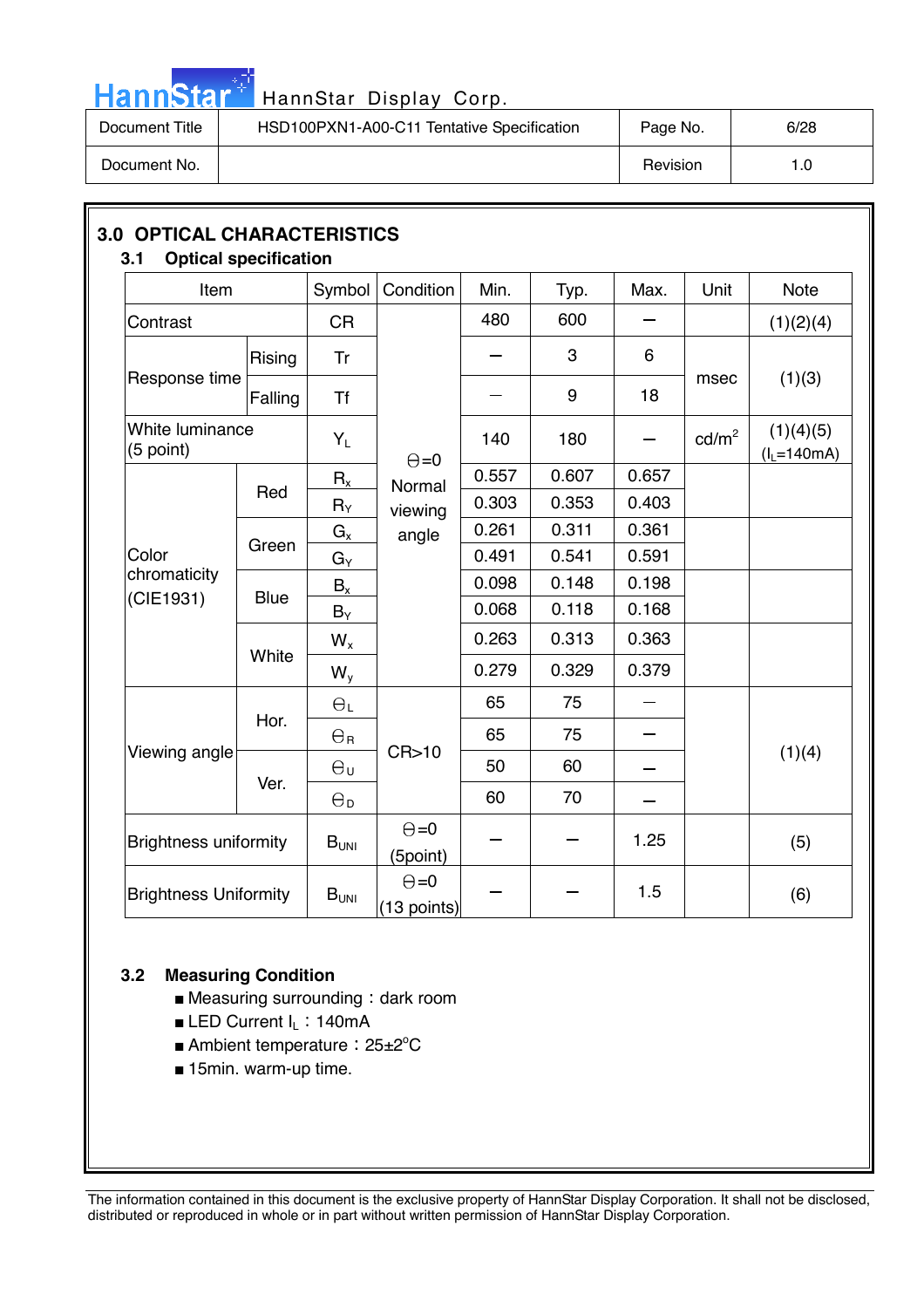

# HannStar<sup>#</sup> HannStar Display Corp.

| Document Title | HSD100PXN1-A00-C11 Tentative Specification | Page No. | 6/28 |
|----------------|--------------------------------------------|----------|------|
| Document No.   |                                            | Revision | 1.0  |

| Item                         |             | Symbol                | Condition                     | Min.  | Typ.  | Max.  | Unit            | <b>Note</b>                |
|------------------------------|-------------|-----------------------|-------------------------------|-------|-------|-------|-----------------|----------------------------|
| Contrast                     |             | <b>CR</b>             |                               | 480   | 600   |       |                 | (1)(2)(4)                  |
|                              | Rising      | <b>Tr</b>             |                               |       | 3     | 6     |                 |                            |
| Response time                | Falling     | <b>Tf</b>             |                               |       | 9     | 18    | msec            | (1)(3)                     |
| White luminance<br>(5 point) |             | $Y_L$                 | $\Theta = 0$                  | 140   | 180   |       | $\text{cd/m}^2$ | (1)(4)(5)<br>$(I_L=140mA)$ |
|                              |             | $R_{x}$               | Normal                        | 0.557 | 0.607 | 0.657 |                 |                            |
|                              | Red         | $R_Y$                 | viewing                       | 0.303 | 0.353 | 0.403 |                 |                            |
|                              |             | $G_{x}$               | angle                         | 0.261 | 0.311 | 0.361 |                 |                            |
| Color                        | Green       | $G_Y$                 |                               | 0.491 | 0.541 | 0.591 |                 |                            |
| chromaticity                 | <b>Blue</b> | $B_{x}$               |                               | 0.098 | 0.148 | 0.198 |                 |                            |
| (CIE1931)                    |             | $B_Y$                 |                               | 0.068 | 0.118 | 0.168 |                 |                            |
|                              | White       | $W_{x}$               |                               | 0.263 | 0.313 | 0.363 |                 |                            |
|                              |             | $W_y$                 |                               | 0.279 | 0.329 | 0.379 |                 |                            |
|                              | Hor.        | $\Theta_L$            |                               | 65    | 75    |       |                 |                            |
|                              |             | $\Theta_{\rm R}$      |                               | 65    | 75    |       |                 |                            |
| Viewing angle                |             | $\Theta_{\sf U}$      | CR > 10                       | 50    | 60    |       |                 | (1)(4)                     |
|                              | Ver.        | $\Theta_{\mathsf{D}}$ |                               | 60    | 70    |       |                 |                            |
| <b>Brightness uniformity</b> |             | $B_{UNI}$             | $\Theta = 0$<br>(5point)      |       |       | 1.25  |                 | (5)                        |
| <b>Brightness Uniformity</b> |             | B <sub>UNI</sub>      | $\Theta = 0$<br>$(13$ points) |       |       | 1.5   |                 | (6)                        |

#### **3.2 Measuring Condition**

- $\blacksquare$  Measuring surrounding : dark room
- **ELED Current**  $I_L$ **: 140mA**
- Ambient temperature: 25±2<sup>°</sup>C
- 15min. warm-up time.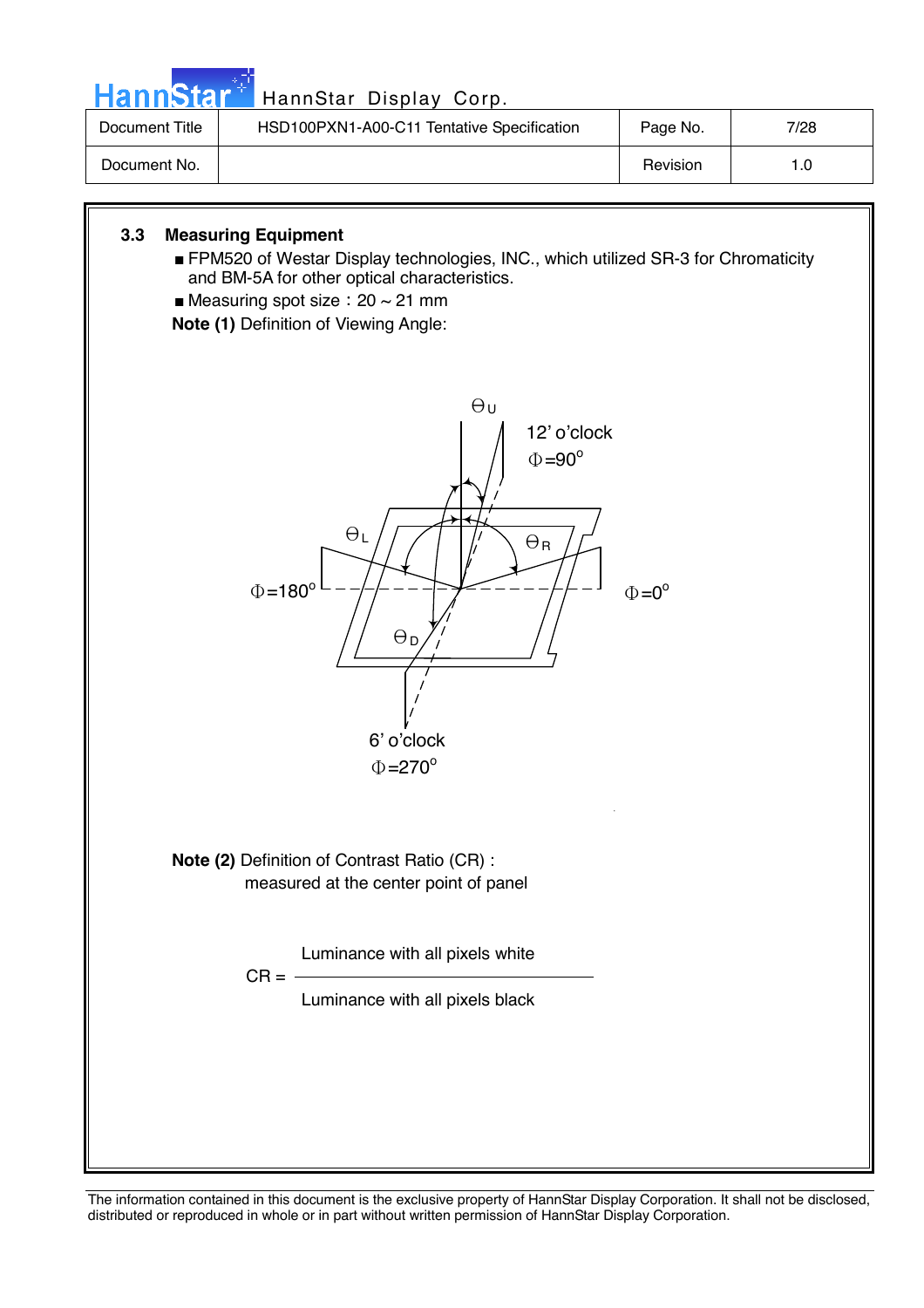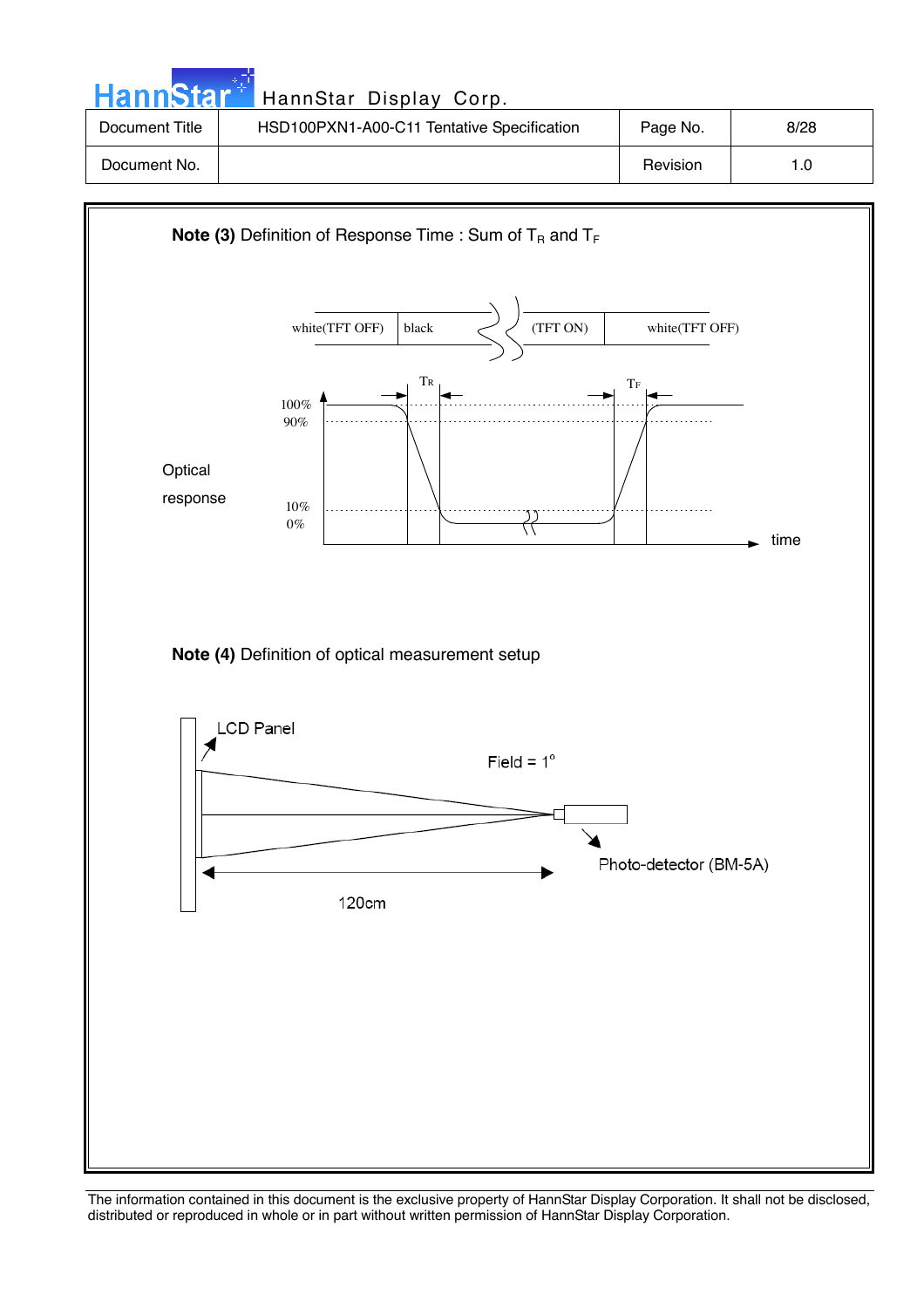| <b>HannStar</b> * | HannStar Display Corp.                     |          |      |
|-------------------|--------------------------------------------|----------|------|
| Document Title    | HSD100PXN1-A00-C11 Tentative Specification | Page No. | 8/28 |
| Document No.      |                                            | Revision | 1.0  |

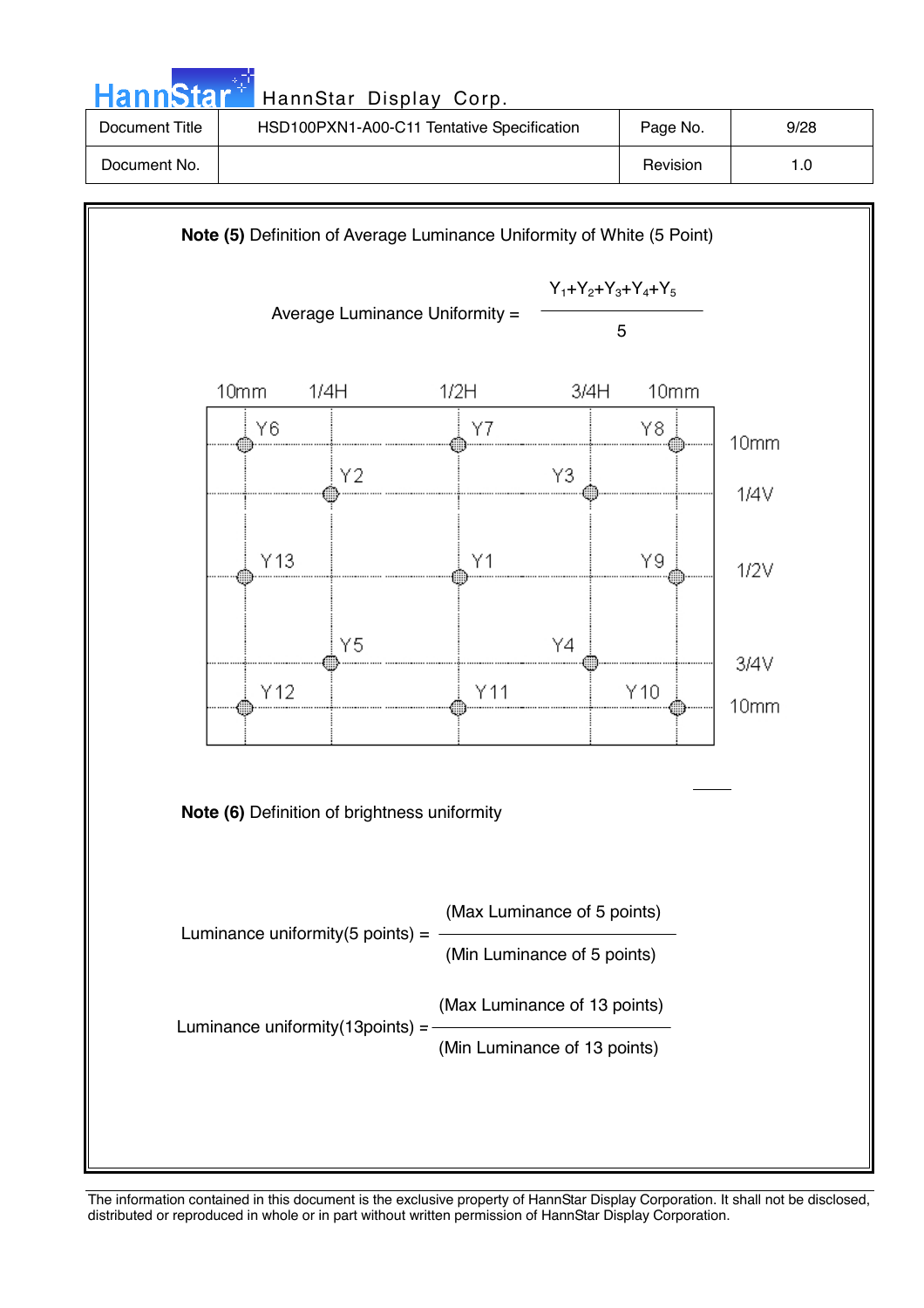| HannStar <sup>+</sup> | HannStar Display Corp.                     |          |      |
|-----------------------|--------------------------------------------|----------|------|
| Document Title        | HSD100PXN1-A00-C11 Tentative Specification | Page No. | 9/28 |
| Document No.          |                                            | Revision | 1.0  |

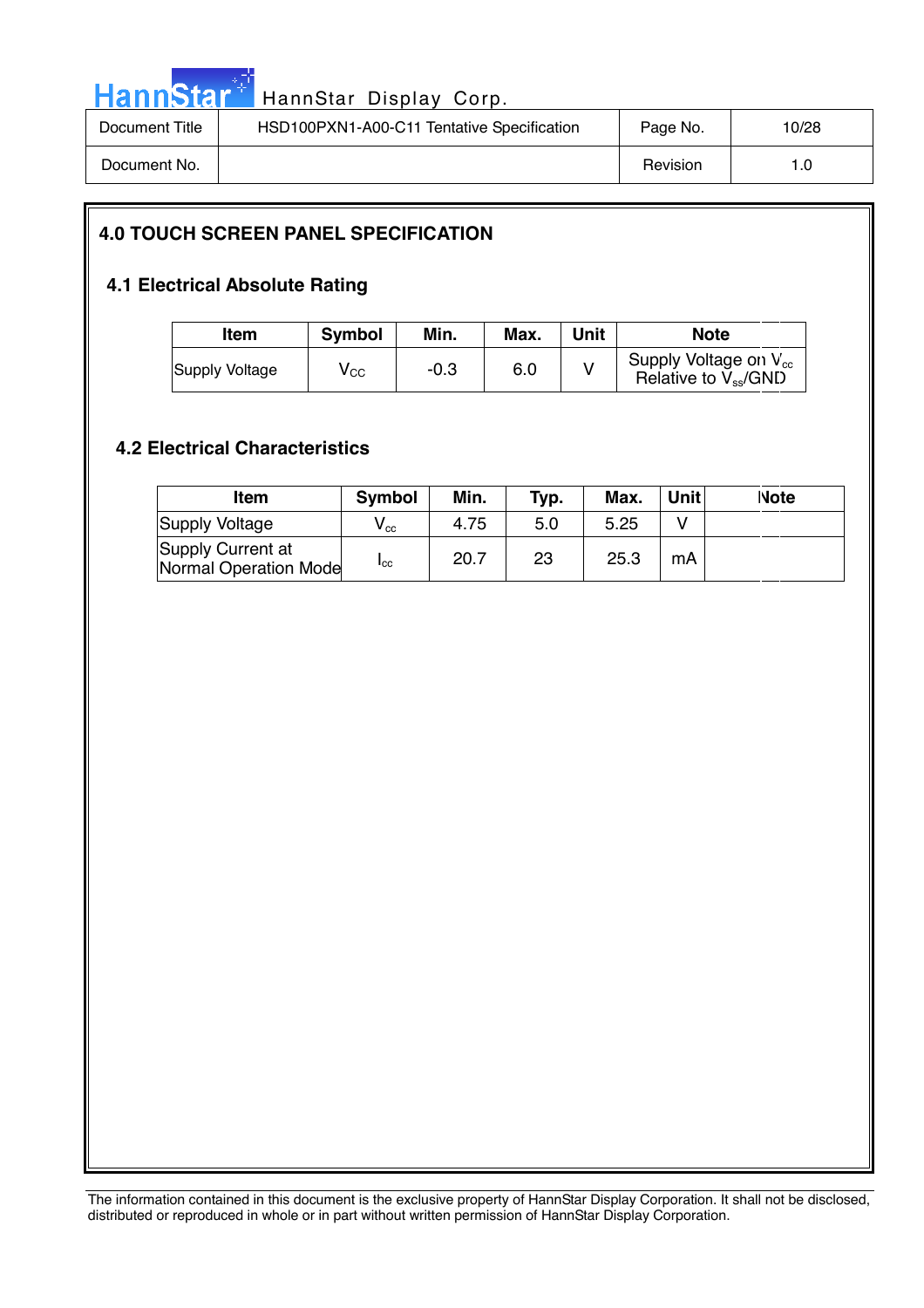

# HannStar<sup>t HannStar Display Corp.</sup> 2006. 2007.

| Document Title | HSD100PXN1-A00-C11 Tentative Specification | Page No. | 10/28 |
|----------------|--------------------------------------------|----------|-------|
| Document No.   |                                            | Revision |       |

#### **4.0 TOUCH SCREEN PANEL SPECIFICATION**

#### **4.1 Electrical Absolute Rating**

| Item           | <b>Symbol</b> | Min.   | Max. | Unit | <b>Note</b>                                            |
|----------------|---------------|--------|------|------|--------------------------------------------------------|
| Supply Voltage | $V_{\rm CC}$  | $-0.3$ | 6.0  |      | Supply Voltage on $V_{cc}$<br>Relative to $V_{ss}/GND$ |

#### **4.2 Electrical Characteristics**

| Item                                       | <b>Symbol</b>              | Min. | Typ. | Max. | Unitl | <b>Note</b> |
|--------------------------------------------|----------------------------|------|------|------|-------|-------------|
| Supply Voltage                             | $\mathsf{V}_{\mathrm{cc}}$ | 4.75 | 5.0  | 5.25 |       |             |
| Supply Current at<br>Normal Operation Mode | "cc                        | 20.7 | 23   | 25.3 | mA    |             |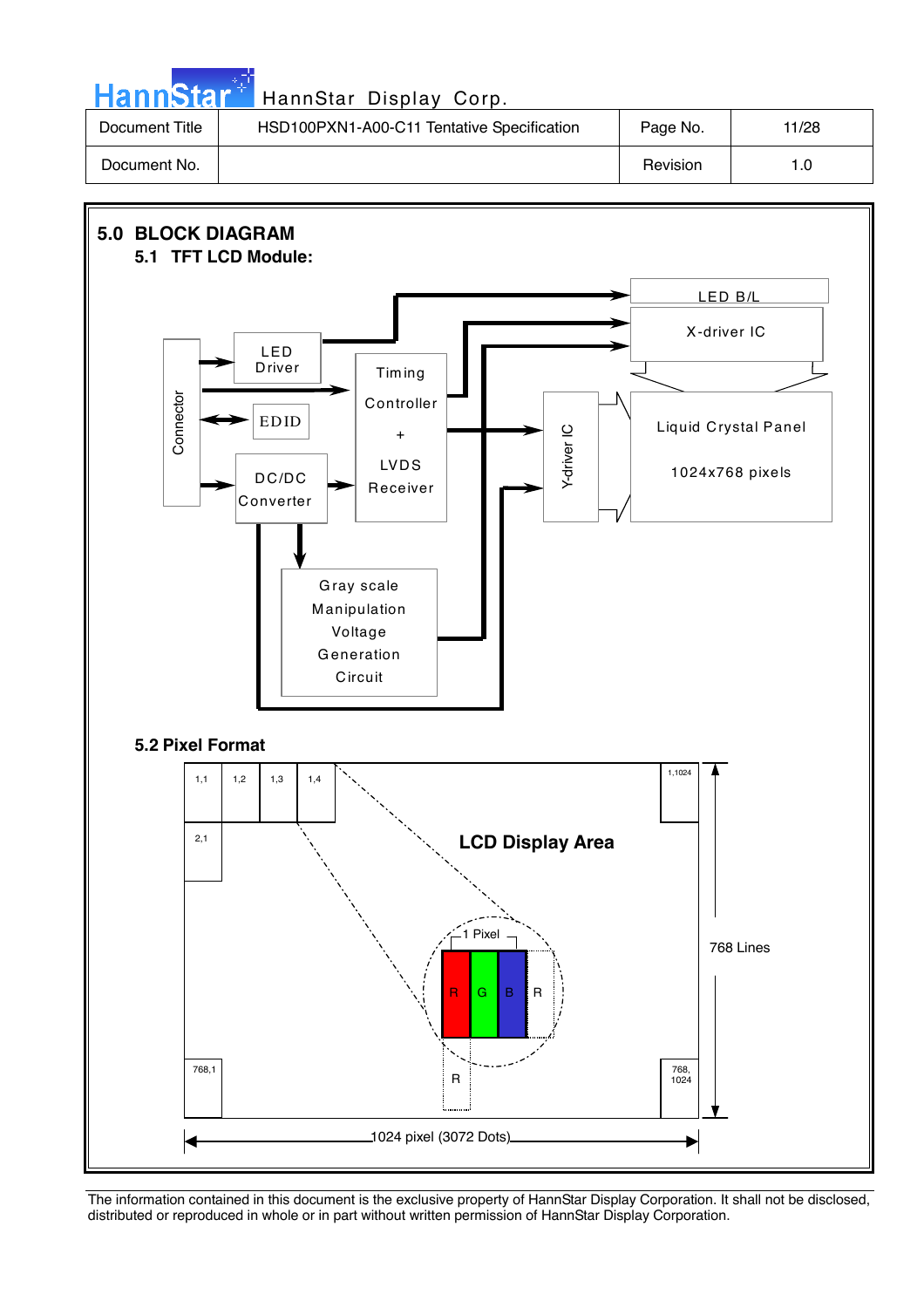**Hann**Star HannStar Display Corp. Document Title | HSD100PXN1-A00-C11 Tentative Specification | Page No. | 11/28 Document No. 1.0

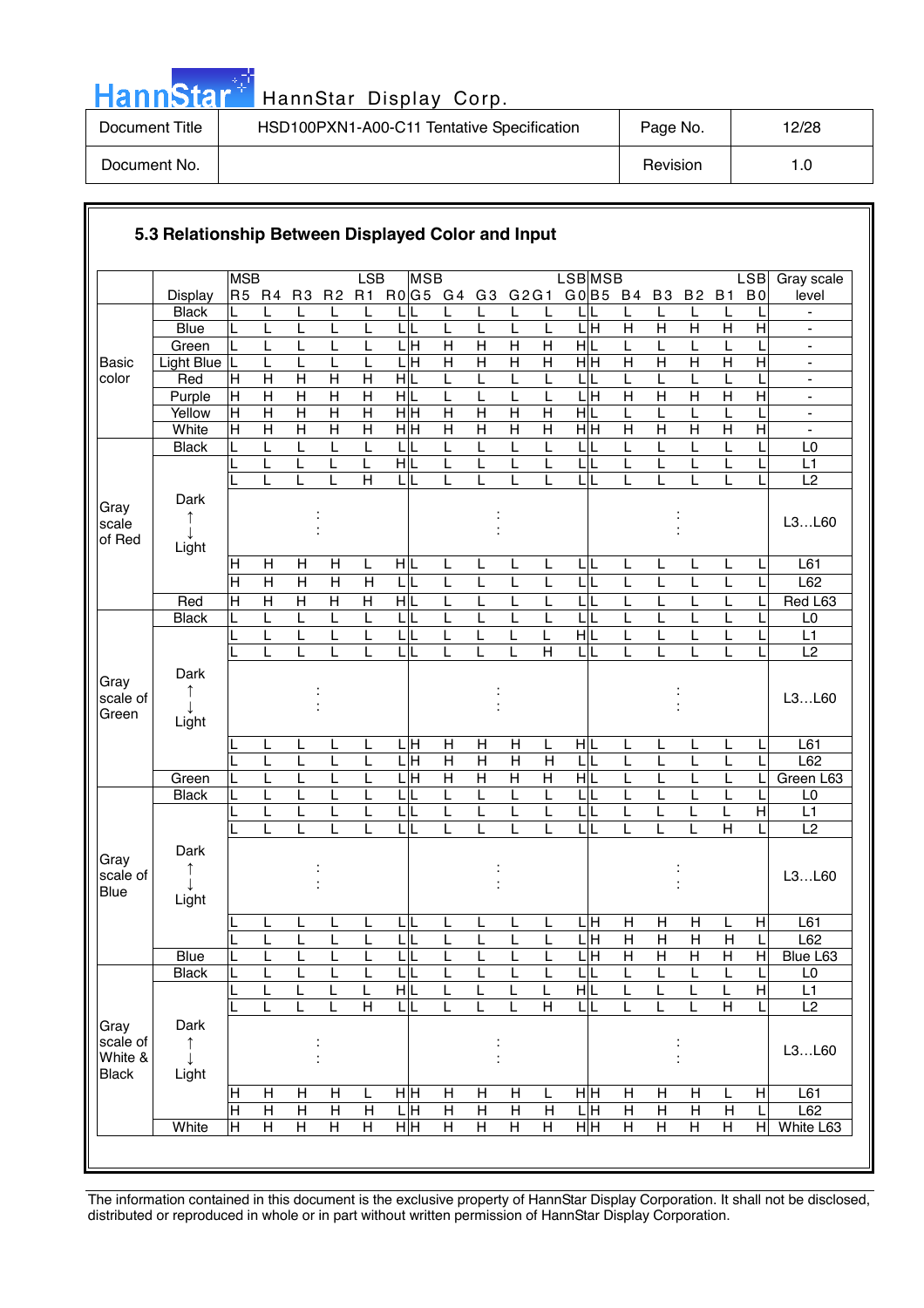| <b>HannStar*</b> | HannStar Display Corp.                     |          |       |
|------------------|--------------------------------------------|----------|-------|
| Document Title   | HSD100PXN1-A00-C11 Tentative Specification | Page No. | 12/28 |
| Document No.     |                                            | Revision | 1.0   |

الرابعين والمتوازن

|                                             |                    | <b>MSB</b>                     |                              |                                  |                                  | LSB                          | <b>MSB</b>                   |                         |                |                         |                | LSB <sub>MSB</sub>      |                     |                              |                           |                         | <b>LSB</b>     | Gray scale                       |
|---------------------------------------------|--------------------|--------------------------------|------------------------------|----------------------------------|----------------------------------|------------------------------|------------------------------|-------------------------|----------------|-------------------------|----------------|-------------------------|---------------------|------------------------------|---------------------------|-------------------------|----------------|----------------------------------|
|                                             | Display            | R5 R4                          |                              | R <sub>3</sub>                   | R <sub>2</sub>                   | R1                           | $R0$ G5 G4                   |                         | G <sub>3</sub> | G2G1                    |                | $G0$ B5 B4              |                     | B <sub>3</sub>               | <b>B2</b>                 | <b>B1</b>               | B <sub>0</sub> | level                            |
|                                             | <b>Black</b>       |                                | L                            | L                                | L                                |                              |                              |                         |                |                         | L              |                         |                     |                              | L                         |                         |                | $\qquad \qquad \blacksquare$     |
|                                             | <b>Blue</b>        | Г                              | L                            | L                                |                                  | L                            | $\mathsf{L}$<br>L            | L                       | L              | L                       | L              | $\overline{\mathbf{H}}$ | $\overline{H}$      | $\overline{H}$               | $\overline{\mathsf{H}}$   | $\overline{\mathsf{H}}$ | $\overline{H}$ | $\overline{\phantom{0}}$         |
|                                             | Green              | L                              | L                            | L                                | L                                | L                            | $\overline{L}$ H             | $\overline{H}$          | $\overline{H}$ | $\overline{H}$          | $\overline{H}$ | $\frac{1}{\sqrt{2}}$    | L                   |                              | L                         |                         |                | $\blacksquare$                   |
| <b>Basic</b>                                | <b>Light Blue</b>  | L                              | L                            | L                                | L                                | L                            | $\overline{L}$ H             | $\overline{H}$          | $\overline{H}$ | H                       | $\overline{H}$ | H H                     | $\overline{H}$      | $\overline{H}$               | $\overline{H}$            | $\overline{H}$          | $\overline{H}$ | $\blacksquare$                   |
| color                                       | Red<br>Purple      | $\mathsf{H}$<br>$\overline{H}$ | H<br>$\overline{\mathsf{H}}$ | $\overline{H}$<br>$\overline{H}$ | $\overline{H}$<br>$\overline{H}$ | Н<br>$\overline{\mathsf{H}}$ | HIL<br>$\overline{H}$        | L<br>L                  | L<br>L         | L<br>L                  | L<br>L         | L<br>$L$ H              | L<br>$\overline{H}$ | L<br>$\overline{\mathsf{H}}$ | L<br>$\overline{H}$       | L<br>$\overline{H}$     | $\overline{H}$ | $\blacksquare$<br>$\blacksquare$ |
|                                             | Yellow             | $\overline{H}$                 | $\overline{H}$               | $\overline{\mathsf{H}}$          | $\overline{\mathsf{H}}$          | $\overline{H}$               | $\overline{H}$ H             | $\overline{\mathsf{H}}$ | $\overline{H}$ | $\overline{\mathsf{H}}$ | $\overline{H}$ | H L                     | L                   | L                            | L                         | L                       | L              | $\blacksquare$                   |
|                                             | White              | $\overline{H}$                 | $\overline{H}$               | $\overline{H}$                   | $\overline{H}$                   | $\overline{H}$               | H H                          | $\overline{H}$          | $\overline{H}$ | $\overline{H}$          | $\overline{H}$ | $\overline{H}$ H        | $\overline{H}$      | $\overline{H}$               | $\overline{H}$            | $\overline{H}$          | $\overline{H}$ |                                  |
|                                             | <b>Black</b>       | L                              | L                            | L                                | L                                | L                            | $\mathsf L$                  | L                       | L              | L                       | L              | L                       | L                   | L                            | L                         |                         |                | L <sub>0</sub>                   |
|                                             |                    | L                              | L                            | L                                | L                                | L                            | HĮL                          | L                       | L              | L                       | L              | $\mathsf{L}$            | L                   | L                            | L                         | L                       |                | L1                               |
|                                             |                    |                                | L                            | L                                | L                                | H                            | LI                           | L                       |                | L                       | L              | LIL                     | L                   | L                            | L                         | L                       |                | L2                               |
| Gray<br>scale<br>of Red                     | Dark               |                                |                              |                                  |                                  |                              |                              |                         |                |                         |                |                         |                     |                              |                           |                         |                | L3L60                            |
|                                             | Light              | H                              | H                            | $\mathsf{H}$                     | Н                                | L                            | H L                          | L                       |                |                         | L              | LIL                     | L                   |                              | L                         |                         |                | L61                              |
|                                             |                    | $\overline{H}$                 | $\overline{H}$               | $\overline{H}$                   | $\overline{H}$                   | $\overline{H}$               | $\mathsf{L}$<br>L            | L                       | L<br>L         | L<br>L                  | L              | LL                      | L                   | L<br>L                       | L                         | L<br>L                  |                | L62                              |
|                                             | Red                | $\overline{H}$                 | $\overline{H}$               | $\overline{H}$                   | $\overline{H}$                   | $\overline{H}$               | 픰                            | L                       | L              |                         | L              | L                       | L                   |                              | L                         |                         |                | Red L63                          |
|                                             | <b>Black</b>       | L                              | L                            | Г                                | L                                | L                            | ЦL                           | L                       | L              | L                       | L              | τī                      | L                   |                              | L                         | L                       |                | L <sub>0</sub>                   |
|                                             |                    |                                | L                            | L                                |                                  |                              | L                            | L                       |                |                         | L              | нĮг                     |                     |                              | L                         |                         |                | L1                               |
|                                             |                    |                                | L                            | L                                |                                  |                              | L                            |                         |                |                         | $\overline{H}$ |                         |                     |                              |                           |                         |                | $\overline{L2}$                  |
| Gray<br>scale of<br>Green                   | Dark<br>↑<br>Light |                                |                              |                                  |                                  |                              |                              |                         |                |                         |                |                         |                     |                              |                           |                         |                | L3L60                            |
|                                             |                    |                                | L                            | L                                | L                                | L                            | L Н                          | Н                       | Н              | $\mathsf{H}$            | L              | HL                      | L                   | L                            | L                         | L                       | L              | L61                              |
|                                             |                    | L                              | L                            | L                                | L                                | L                            | $\overline{\mathbb{H}}$<br>L | $\overline{H}$          | $\overline{H}$ | $\mathsf{H}$            | $\mathsf{H}$   | L                       | L                   | L                            | L                         | L                       | L              | L62                              |
|                                             | Green              | L                              | L                            | L                                | L                                | L                            | .<br>IH<br>L                 | $\overline{H}$          | $\overline{H}$ | $\overline{H}$          | $\overline{H}$ | H L                     | L                   | L                            | L                         | L                       |                | Green L63                        |
|                                             | <b>Black</b>       | L                              | L                            | L                                | L                                | L                            | τL                           | L                       | L              | L                       | L              | L L                     | L                   | L                            | L                         | L                       | L              | L <sub>0</sub>                   |
|                                             |                    |                                | L                            | L                                | L                                | L                            | L                            | L<br>L                  | L<br>L         | L                       | L              | L                       | L                   | L<br>L                       | L                         | L                       | $\overline{H}$ | L1                               |
|                                             |                    |                                | L                            | L                                |                                  | L                            | $\mathsf{L}$                 |                         |                | L                       | L              | L                       |                     |                              | L                         | $\overline{H}$          |                | L2                               |
| Gray<br>scale of<br>Blue                    | Dark<br>Light      |                                |                              |                                  |                                  |                              |                              |                         |                |                         |                |                         |                     |                              |                           |                         |                | L3L60                            |
|                                             |                    |                                | ┕                            | ┕                                | ь.                               | ட                            | $\mathsf{L}$<br>щ            | щ                       | ┕              | ட                       | ┕              | $\frac{}{\mathsf{L}}$   | H                   | $\mathsf{H}$                 | H                         | <b>L</b>                | $\overline{H}$ | L61                              |
|                                             |                    | Ē                              | Г                            | L                                | L                                | L                            | LL                           | L                       | L              | L                       | L              | LН                      | $\mathsf{H}$        | $\mathsf{H}$                 | Н                         | $\mathsf{H}$            | L              | L62                              |
|                                             | Blue               |                                | L                            | L                                |                                  | L                            | LI                           | L                       |                |                         | L              | LН                      | н                   | Н                            | н                         | Н                       | H              | Blue L63                         |
|                                             | <b>Black</b>       | L                              | L                            | L                                |                                  |                              | L                            |                         |                |                         | L              |                         |                     | L                            | L                         |                         |                | L0                               |
|                                             |                    |                                | L                            | L                                |                                  | L                            | $\overline{H}$               | L                       |                | L                       | L              | $\overline{H}$          | L                   |                              | L                         | L                       | $\overline{H}$ | L1                               |
|                                             |                    |                                | L                            | L                                | L                                | $\overline{H}$               | ЩL                           | L                       | L              | L                       | $\overline{H}$ | LL                      | L                   | L                            | L                         | $\overline{H}$          | L              | $\overline{L2}$                  |
| Gray<br>scale of<br>White &<br><b>Black</b> | Dark<br>↑<br>Light |                                |                              |                                  |                                  |                              |                              |                         |                |                         |                |                         |                     |                              |                           |                         |                | L3L60                            |
|                                             |                    | $\mathsf H$                    | Н                            | $\mathsf{H}$                     | Н                                | L                            | HH                           | Н                       | Н              | H                       | L              | нŀн                     | Н                   | H                            | $\boldsymbol{\mathsf{H}}$ | L                       | $\mathsf{H}$   | L61                              |
|                                             |                    | $\overline{H}$                 | $\overline{H}$               | $\overline{H}$                   | $\overline{H}$                   | $\overline{H}$               | LН                           | $\overline{H}$          | $\overline{H}$ | $\overline{H}$          | $\overline{H}$ | ГH                      | $\overline{H}$      | $\overline{H}$               | $\overline{H}$            | $\overline{H}$          |                | L62                              |
|                                             | White              | $\overline{H}$                 | $\overline{H}$               | $\overline{H}$                   | $\overline{H}$                   | $\overline{H}$               | $\overline{H}$               | $\overline{H}$          | $\overline{H}$ | $\overline{H}$          | $\overline{H}$ | H H                     | $\overline{H}$      | $\overline{H}$               | $\overline{H}$            | $\overline{H}$          | $\overline{H}$ | White L63                        |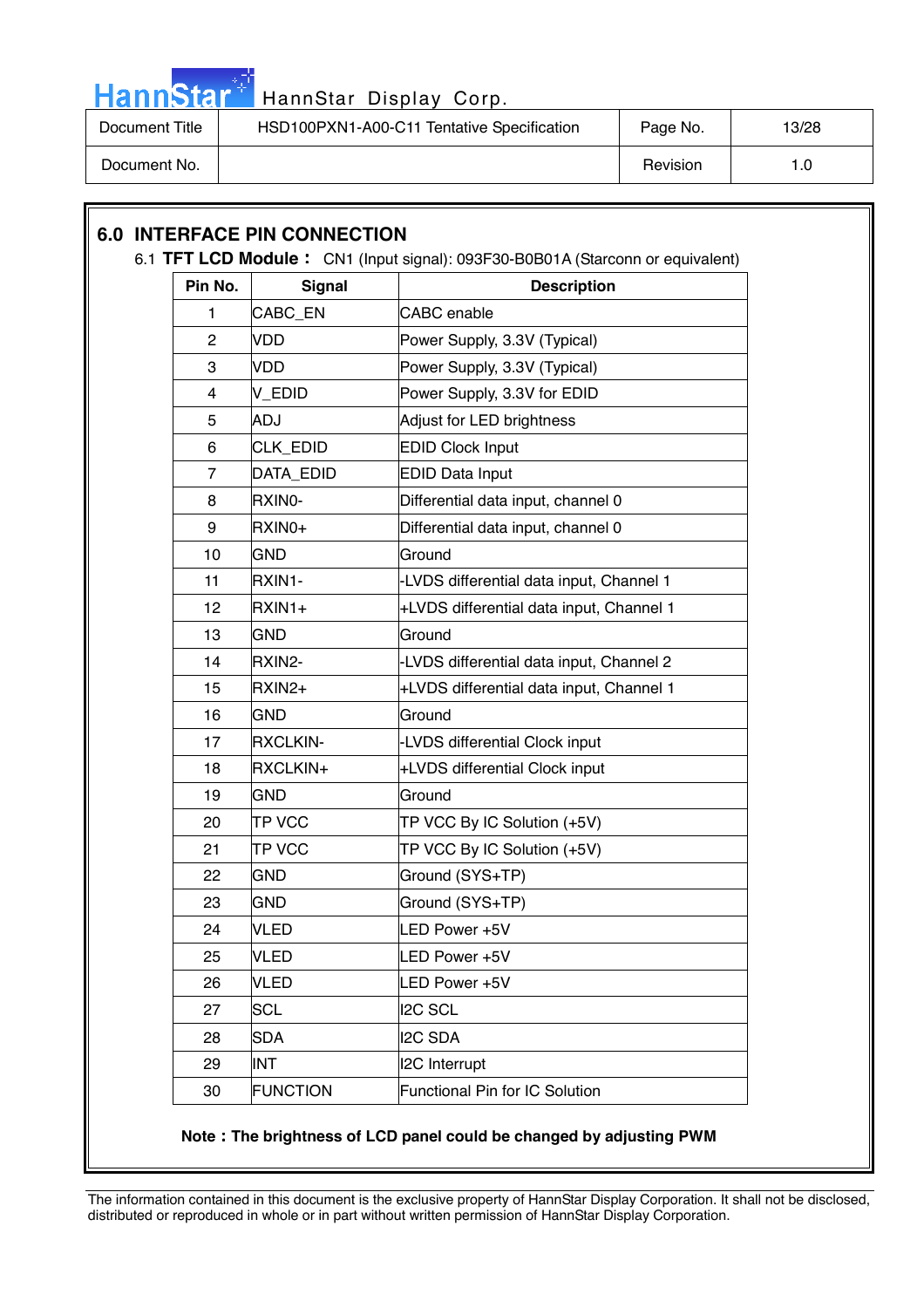

# Hann Star<sup>47</sup> HannStar Display Corp.

| Document Title | HSD100PXN1-A00-C11 Tentative Specification | Page No. | 13/28 |
|----------------|--------------------------------------------|----------|-------|
| Document No.   |                                            | Revision |       |

## **6.0 INTERFACE PIN CONNECTION**  6.1 **TFT LCD Module**: CN1 (Input signal): 093F30-B0B01A (Starconn or equivalent) **Pin No.** Signal **Description** 1 CABC EN CABC enable 2 VDD Power Supply, 3.3V (Typical) 3 VDD Power Supply, 3.3V (Typical) 4 | V\_EDID | Power Supply, 3.3V for EDID 5 ADJ Adjust for LED brightness 6 CLK\_EDID EDID Clock Input 7 DATA\_EDID | EDID Data Input 8 RXINO- Differential data input, channel 0 9 RXIN0+ Differential data input, channel 0 10 GND Ground 11 RXIN1- -LVDS differential data input, Channel 1 12 |RXIN1+  $+$ LVDS differential data input, Channel 1 13 GND Ground 14 |RXIN2- |-LVDS differential data input, Channel 2  $15$  RXIN2+  $+$ LVDS differential data input, Channel 1 16 GND Ground 17 |RXCLKIN- |-LVDS differential Clock input 18 |RXCLKIN+  $+$ LVDS differential Clock input 19 GND Ground 20 **TP VCC** TP VCC By IC Solution (+5V) 21 **TP VCC** TP VCC By IC Solution (+5V) 22 GND Ground (SYS+TP) 23 GND Ground (SYS+TP) 24 VLED LED Power +5V 25 VLED LED Power +5V 26 VLED LED Power +5V 27 SCL 27 2C SCL 28 SDA I2C SDA 29 INT I2C Interrupt 30 FUNCTION Functional Pin for IC Solution

#### **Note The brightness of LCD panel could be changed by adjusting PWM**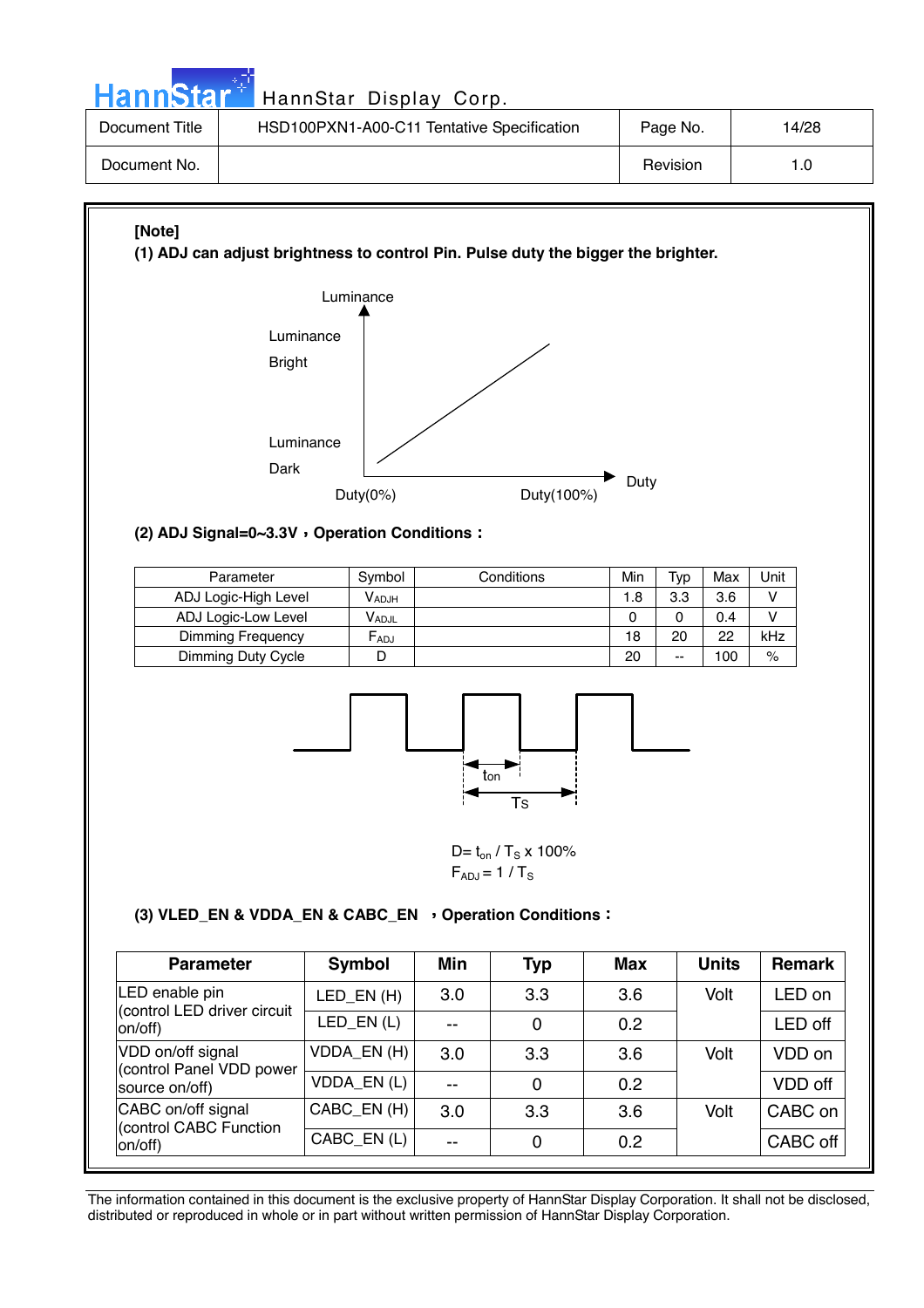Hann Star<sup>4</sup> HannStar Display Corp.

| Document Title | HSD100PXN1-A00-C11 Tentative Specification | Page No. | 14/28 |
|----------------|--------------------------------------------|----------|-------|
| Document No.   |                                            | Revision | 1.0   |

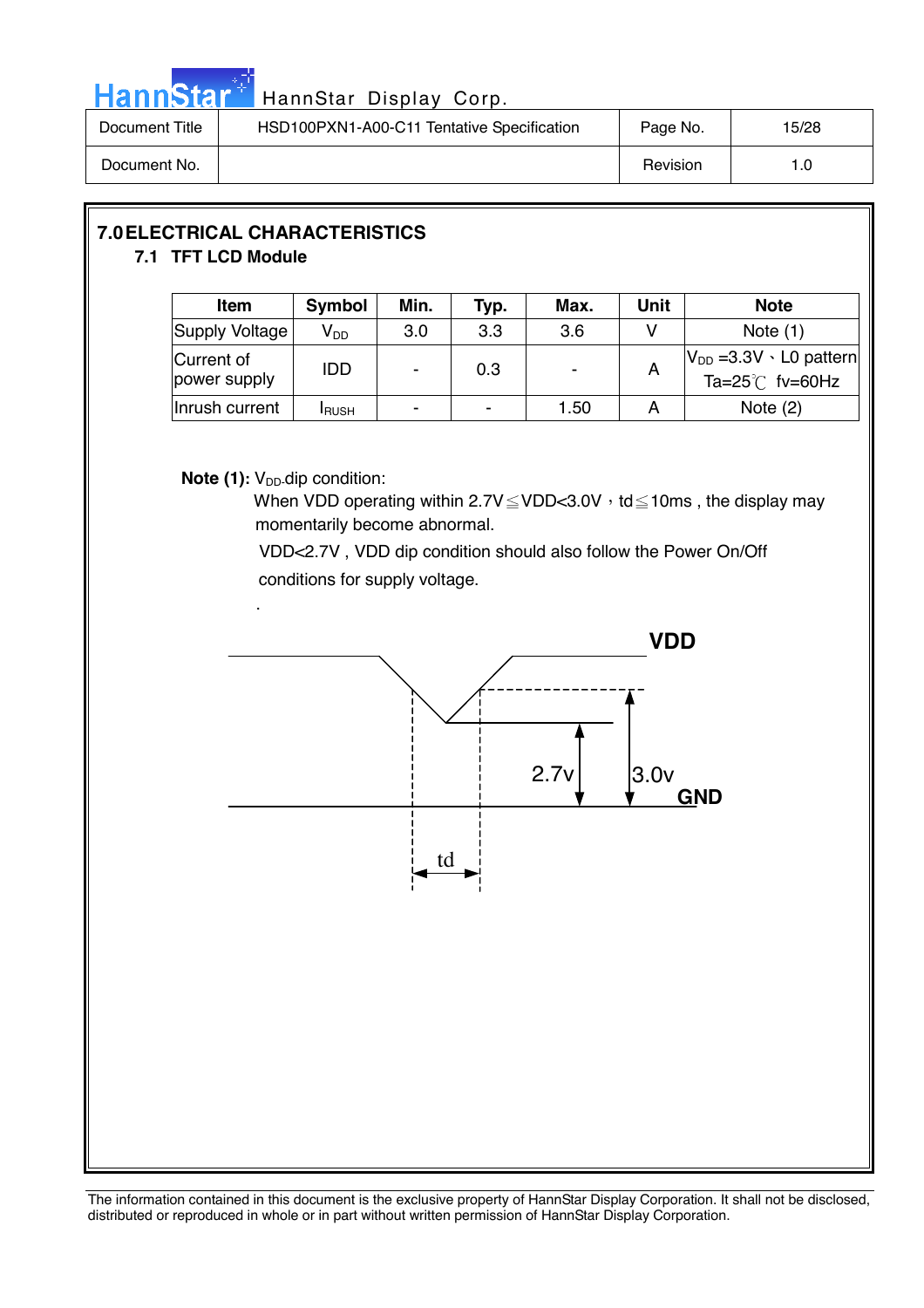

| Document Title | HSD100PXN1-A00-C11 Tentative Specification | Page No. | 15/28 |
|----------------|--------------------------------------------|----------|-------|
| Document No.   |                                            | Revision | l .O  |

#### **7.0 ELECTRICAL CHARACTERISTICS 7.1 TFT LCD Module**

| <b>Item</b>                | <b>Symbol</b>   | Min. | Typ.                     | Max. | Unit | <b>Note</b>                                                     |
|----------------------------|-----------------|------|--------------------------|------|------|-----------------------------------------------------------------|
| Supply Voltage             | V <sub>DD</sub> | 3.0  | 3.3                      | 3.6  |      | Note $(1)$                                                      |
| Current of<br>power supply | <b>IDD</b>      |      | 0.3                      |      | A    | $ V_{DD} = 3.3V \cdot L0$ pattern<br>Ta= $25^{\circ}$ C fv=60Hz |
| Inrush current             | <b>I</b> RUSH   | -    | $\overline{\phantom{0}}$ | 1.50 |      | Note $(2)$                                                      |

#### **Note (1):** V<sub>DD</sub>-dip condition:

When VDD operating within  $2.7V \leq VDD < 3.0V$ , td  $\leq 10$ ms, the display may momentarily become abnormal.

 VDD<2.7V , VDD dip condition should also follow the Power On/Off conditions for supply voltage.

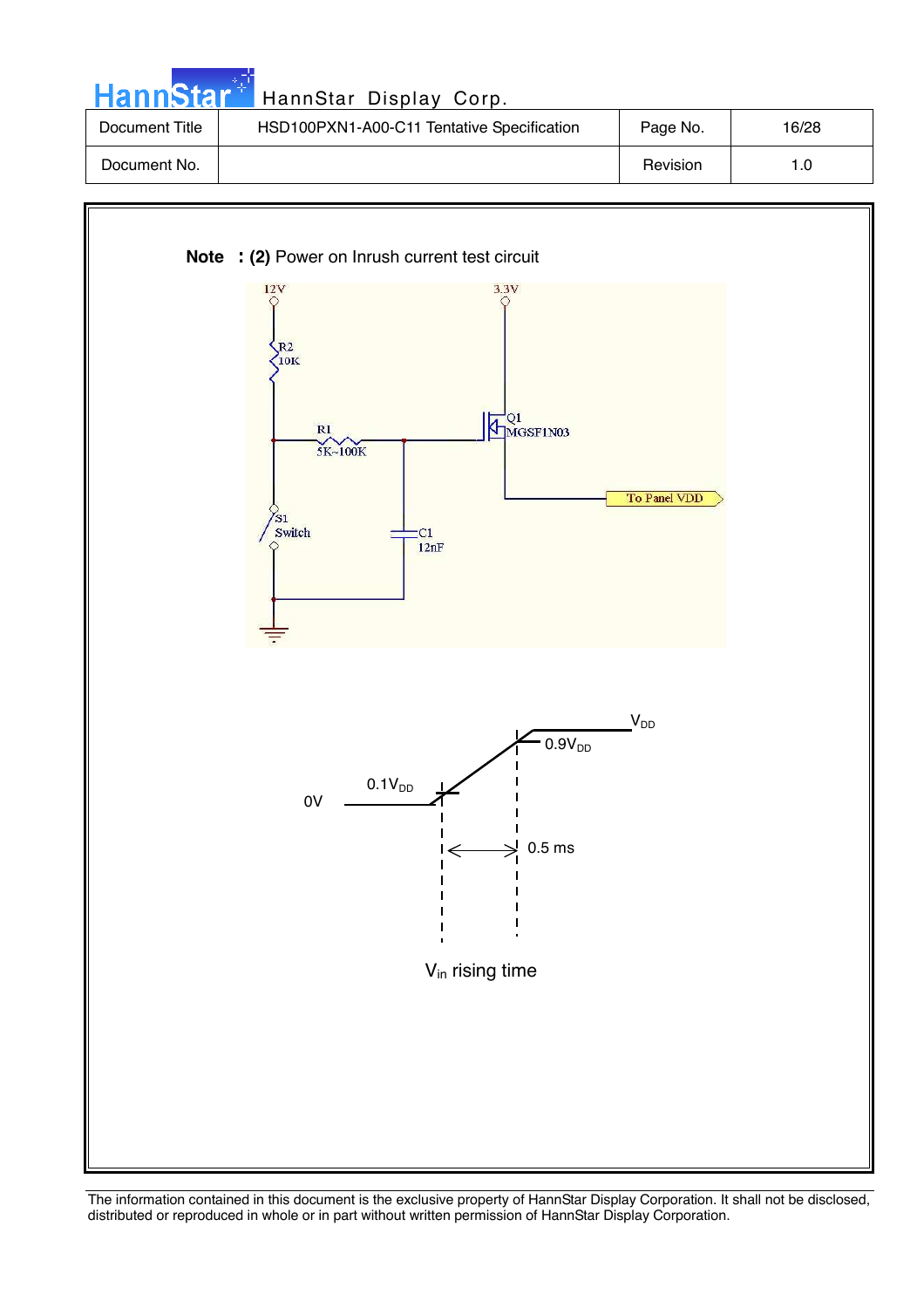| <b>HannStar</b> | HannStar Display Corp.                     |          |       |
|-----------------|--------------------------------------------|----------|-------|
| Document Title  | HSD100PXN1-A00-C11 Tentative Specification | Page No. | 16/28 |
| Document No.    |                                            | Revision | 1.0   |

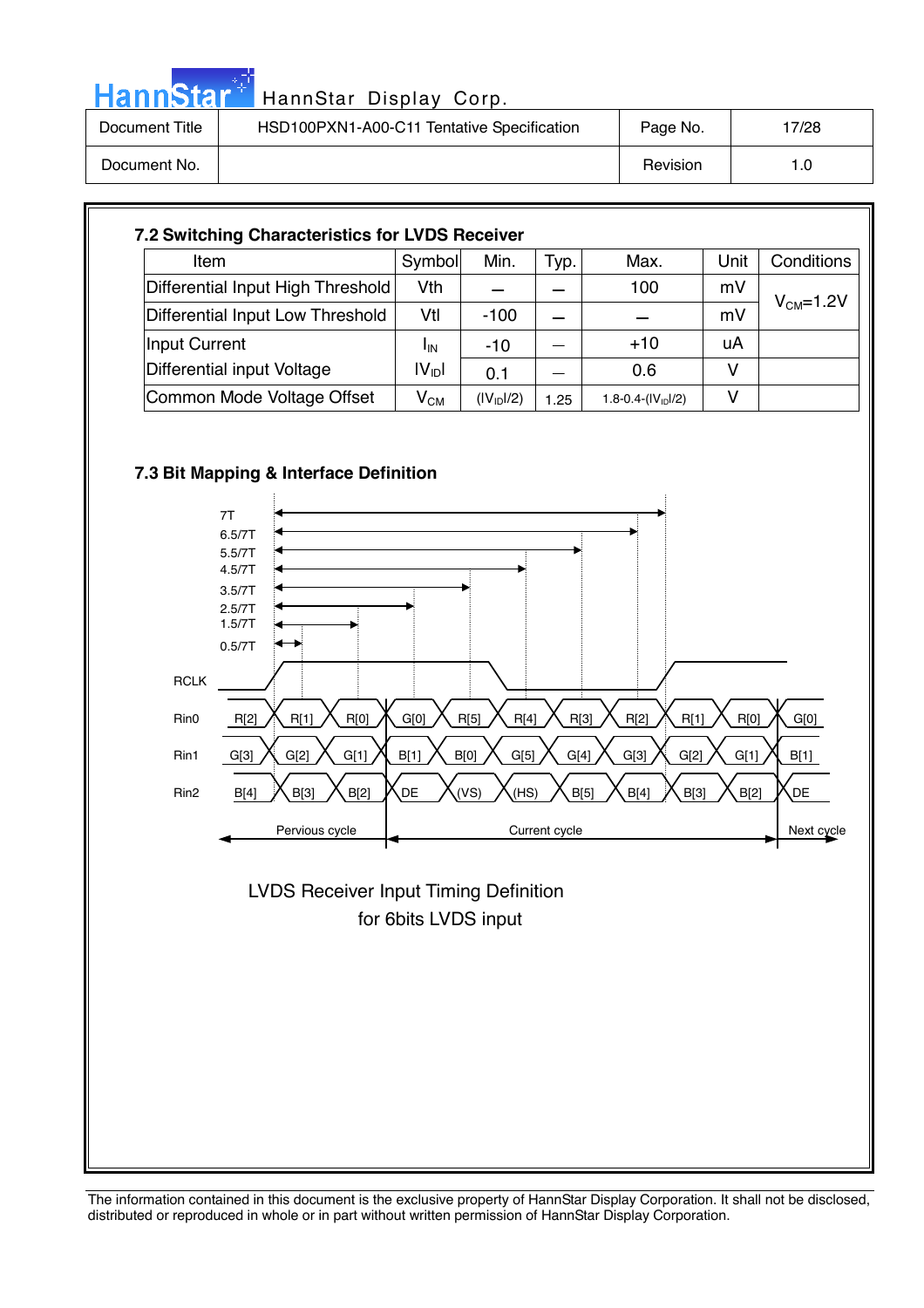|                | HannStar <sup>+</sup> HannStar Display Corp. |          |       |
|----------------|----------------------------------------------|----------|-------|
| Document Title | HSD100PXN1-A00-C11 Tentative Specification   | Page No. | 17/28 |
| Document No.   |                                              | Revision | 1.0   |

| Item                              | Symbol                   | Min.                   | Typ. | Max.                 | Unit | Conditions |
|-----------------------------------|--------------------------|------------------------|------|----------------------|------|------------|
| Differential Input High Threshold | Vth                      |                        |      | 100                  | mV   |            |
| Differential Input Low Threshold  | Vtl                      | $-100$                 |      |                      | mV   | $VCM=1.2V$ |
| Input Current                     | <b>I</b> IN              | $-10$                  |      | $+10$                | uA   |            |
| Differential input Voltage        | $ V_{\text{ID}} $        | 0.1                    |      | 0.6                  | v    |            |
| Common Mode Voltage Offset        | $\mathsf{V}_\mathsf{CM}$ | (IV <sub>ID</sub> 1/2) | 1.25 | 1.8-0.4- $(IV1D1/2)$ | v    |            |

#### **7.3 Bit Mapping & Interface Definition**



 for 6bits LVDS input LVDS Receiver Input Timing Definition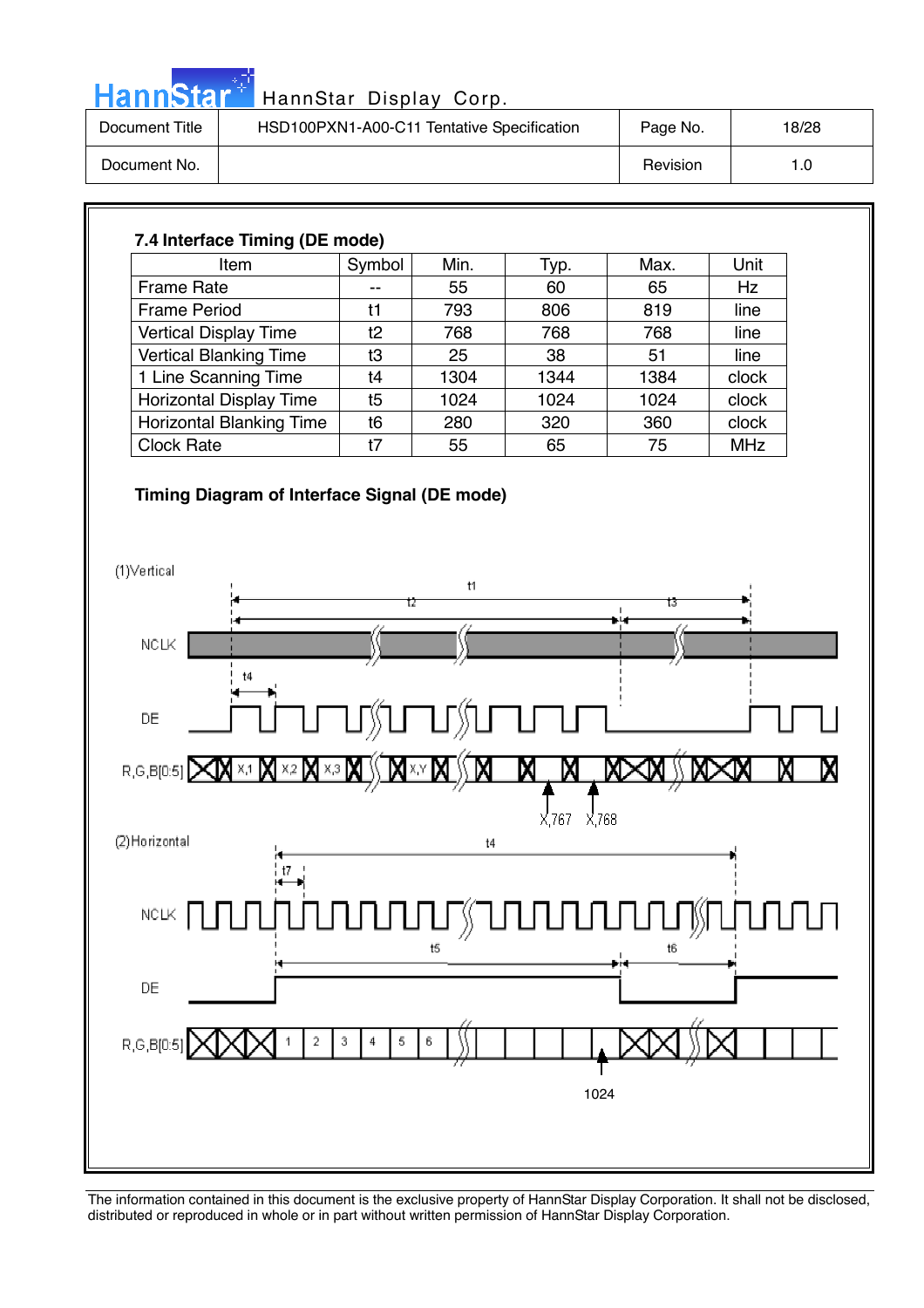| . .<br>Hann<br>ыы |
|-------------------|
|-------------------|

| Document Title | HSD100PXN1-A00-C11 Tentative Specification | Page No. | 18/28 |
|----------------|--------------------------------------------|----------|-------|
| Document No.   |                                            | Revision | 1.0   |

#### **7.4 Interface Timing (DE mode)**  Item  $\vert$  Symbol | Min. | Typ. | Max. | Unit Frame Rate  $\begin{vmatrix} -1 & 55 & 60 \end{vmatrix}$  65 Hz Frame Period | t1 | 793 | 806 | 819 | line Vertical Display Time t2 768 768 768 line Vertical Blanking Time t3 25 38 51 line 1 Line Scanning Time | t4 | 1304 | 1344 | 1384 | clock Horizontal Display Time | t5 | 1024 | 1024 | 1024 | clock Horizontal Blanking Time t6 280 320 360 clock Clock Rate 1 t7 55 65 75 MHz

#### **Timing Diagram of Interface Signal (DE mode)**

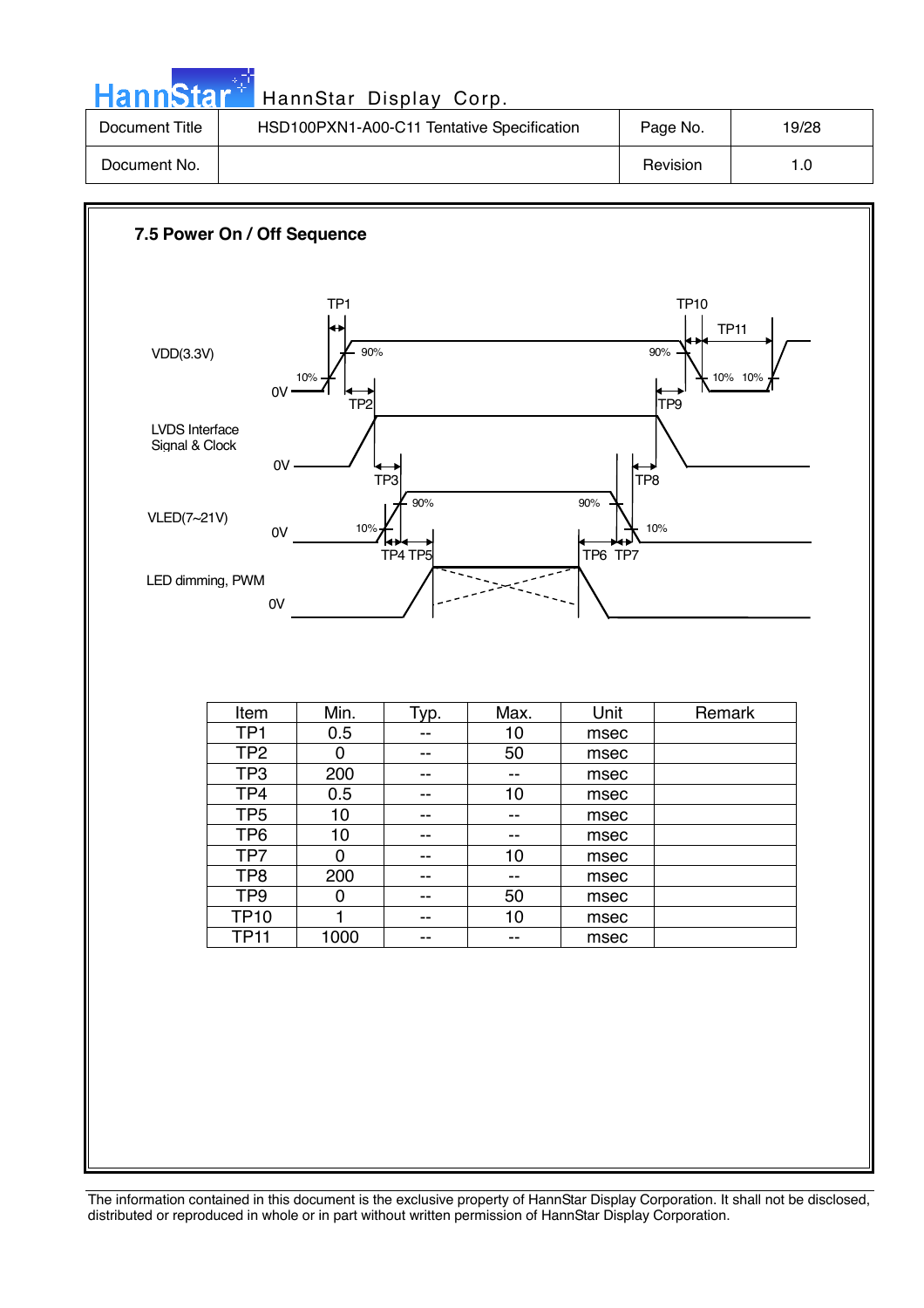| HannStar <sup>*</sup> | HannStar Display Corp.                     |          |       |
|-----------------------|--------------------------------------------|----------|-------|
| Document Title        | HSD100PXN1-A00-C11 Tentative Specification | Page No. | 19/28 |
| Document No.          |                                            | Revision | 1.0   |

**COL** 

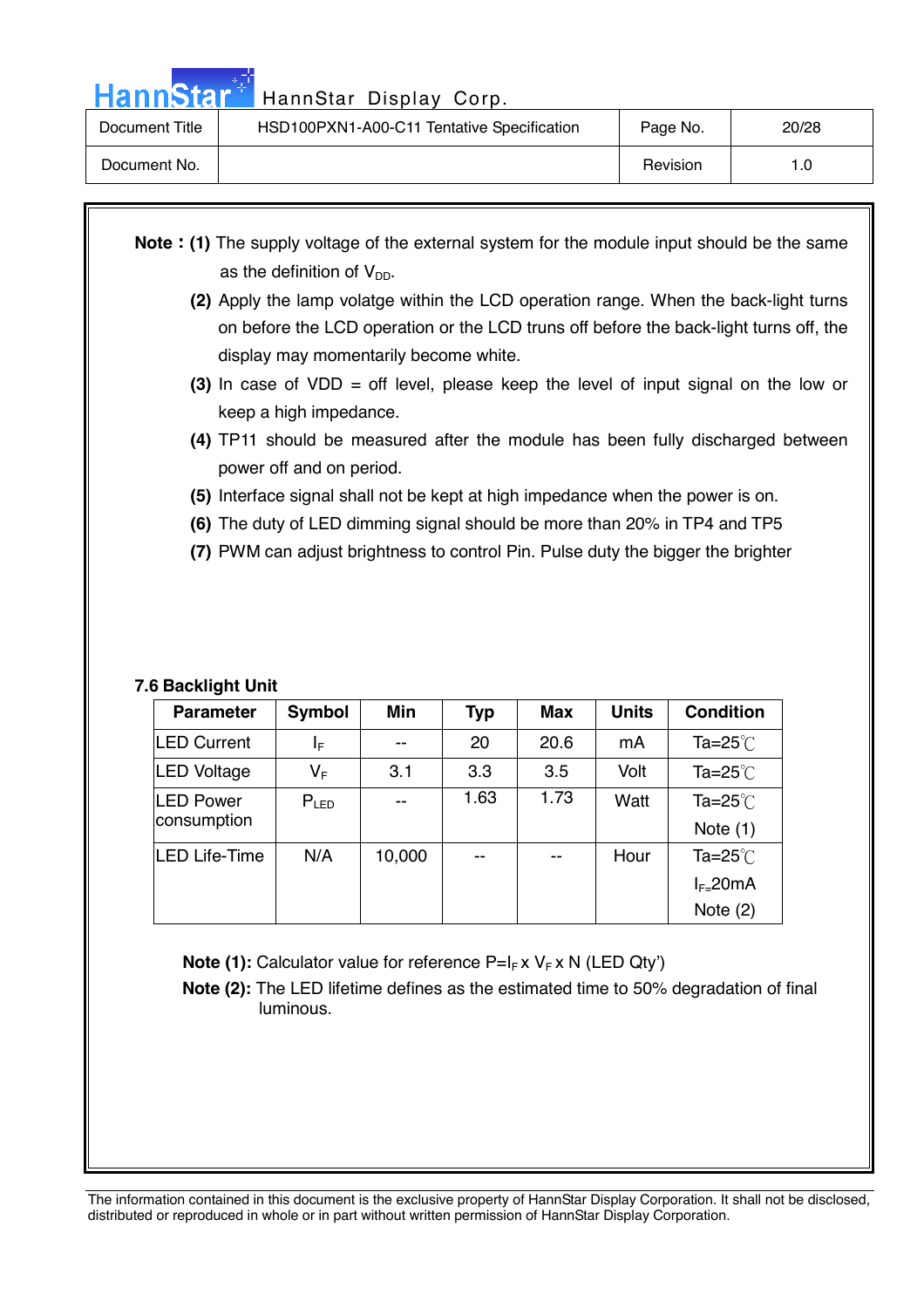Hann Star<sup>#</sup> HannStar Display Corp.

| Document Title | HSD100PXN1-A00-C11 Tentative Specification | Page No. | 20/28 |
|----------------|--------------------------------------------|----------|-------|
| Document No.   |                                            | Revision | 1.0   |

- **Note : (1)** The supply voltage of the external system for the module input should be the same as the definition of  $V_{DD}$ .
	- **(2)** Apply the lamp volatge within the LCD operation range. When the back-light turns on before the LCD operation or the LCD truns off before the back-light turns off, the display may momentarily become white.
	- **(3)** In case of VDD = off level, please keep the level of input signal on the low or keep a high impedance.
	- **(4)** TP11 should be measured after the module has been fully discharged between power off and on period.
	- **(5)** Interface signal shall not be kept at high impedance when the power is on.
	- **(6)** The duty of LED dimming signal should be more than 20% in TP4 and TP5
	- **(7)** PWM can adjust brightness to control Pin. Pulse duty the bigger the brighter

#### **7.6 Backlight Unit**

| <b>Parameter</b>   | Symbol    | Min    | <b>Typ</b> | <b>Max</b> | <b>Units</b> | <b>Condition</b>   |
|--------------------|-----------|--------|------------|------------|--------------|--------------------|
| <b>LED Current</b> | ΙF        |        | 20         | 20.6       | mA           | Ta= $25^{\circ}$ C |
| <b>LED Voltage</b> | VF        | 3.1    | 3.3        | 3.5        | Volt         | Ta= $25^{\circ}$ C |
| <b>LED Power</b>   | $P_{LED}$ |        | 1.63       | 1.73       | Watt         | Ta= $25^{\circ}$ C |
| consumption        |           |        |            |            |              | Note $(1)$         |
| LED Life-Time      | N/A       | 10,000 |            |            | Hour         | Ta= $25^{\circ}$ C |
|                    |           |        |            |            |              | $I_{F=}$ 20mA      |
|                    |           |        |            |            |              | Note $(2)$         |

**Note (1):** Calculator value for reference P=I<sub>F</sub> x V<sub>F</sub> x N (LED Qty')

 **Note (2):** The LED lifetime defines as the estimated time to 50% degradation of final luminous.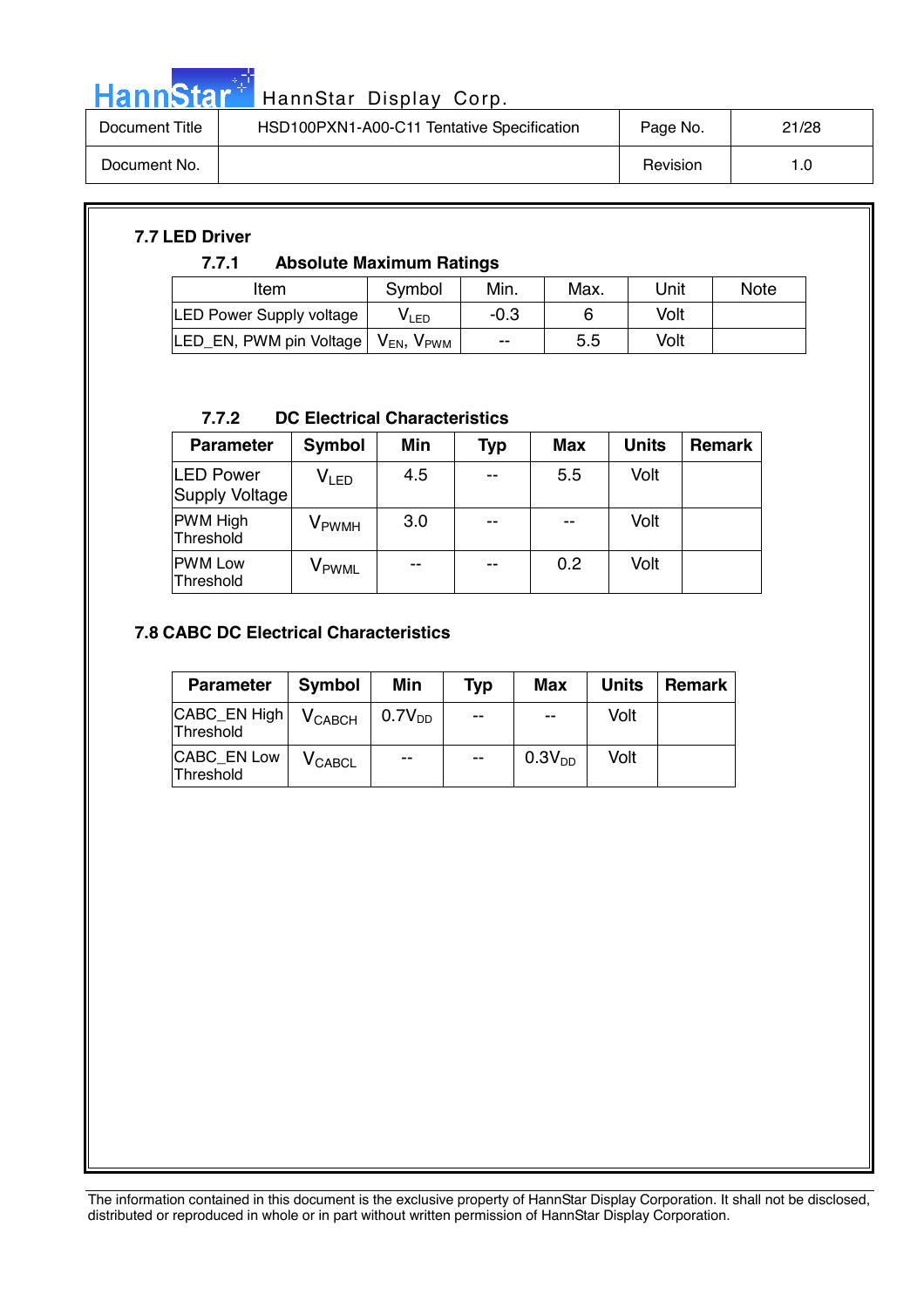

# HannStar<sup>t HannStar Display Corp.</sup>

| Document Title | HSD100PXN1-A00-C11 Tentative Specification | Page No. | 21/28 |
|----------------|--------------------------------------------|----------|-------|
| Document No.   |                                            | Revision | 1.0   |

#### **7.7 LED Driver**

#### **7.7.1 Absolute Maximum Ratings**

| Item                                                         | Symbol       | Min.   | Max. | Unit | <b>Note</b> |
|--------------------------------------------------------------|--------------|--------|------|------|-------------|
| <b>LED Power Supply voltage</b>                              | <b>V</b> LED | $-0.3$ |      | Volt |             |
| LED_EN, PWM pin Voltage   V <sub>EN</sub> , V <sub>PWM</sub> |              | $-$    | 5.5  | Volt |             |

#### **7.7.2 DC Electrical Characteristics**

| <b>Parameter</b>                   | <b>Symbol</b>               | <b>Min</b> | Typ | <b>Max</b> | <b>Units</b> | <b>Remark</b> |
|------------------------------------|-----------------------------|------------|-----|------------|--------------|---------------|
| <b>LED Power</b><br>Supply Voltage | $\mathsf{V}_{\mathsf{LED}}$ | 4.5        | $-$ | 5.5        | Volt         |               |
| <b>PWM High</b><br>Threshold       | <b>V</b> <sub>PWMH</sub>    | 3.0        | $-$ | --         | Volt         |               |
| <b>PWM Low</b><br>Threshold        | V <sub>PWML</sub>           | --         | --  | 0.2        | Volt         |               |

#### **7.8 CABC DC Electrical Characteristics**

| <b>Parameter</b>          | <b>Symbol</b>                 | Min                | <b>Typ</b>               | Max                | <b>Units</b> | Remark |
|---------------------------|-------------------------------|--------------------|--------------------------|--------------------|--------------|--------|
| CABC_EN High<br>Threshold | <b>V</b> CABCH                | 0.7V <sub>DD</sub> | --                       | $-$                | Volt         |        |
| CABC EN Low<br>Threshold  | $\mathsf{V}_{\mathsf{CABCL}}$ | $-$                | $\overline{\phantom{a}}$ | 0.3V <sub>DD</sub> | Volt         |        |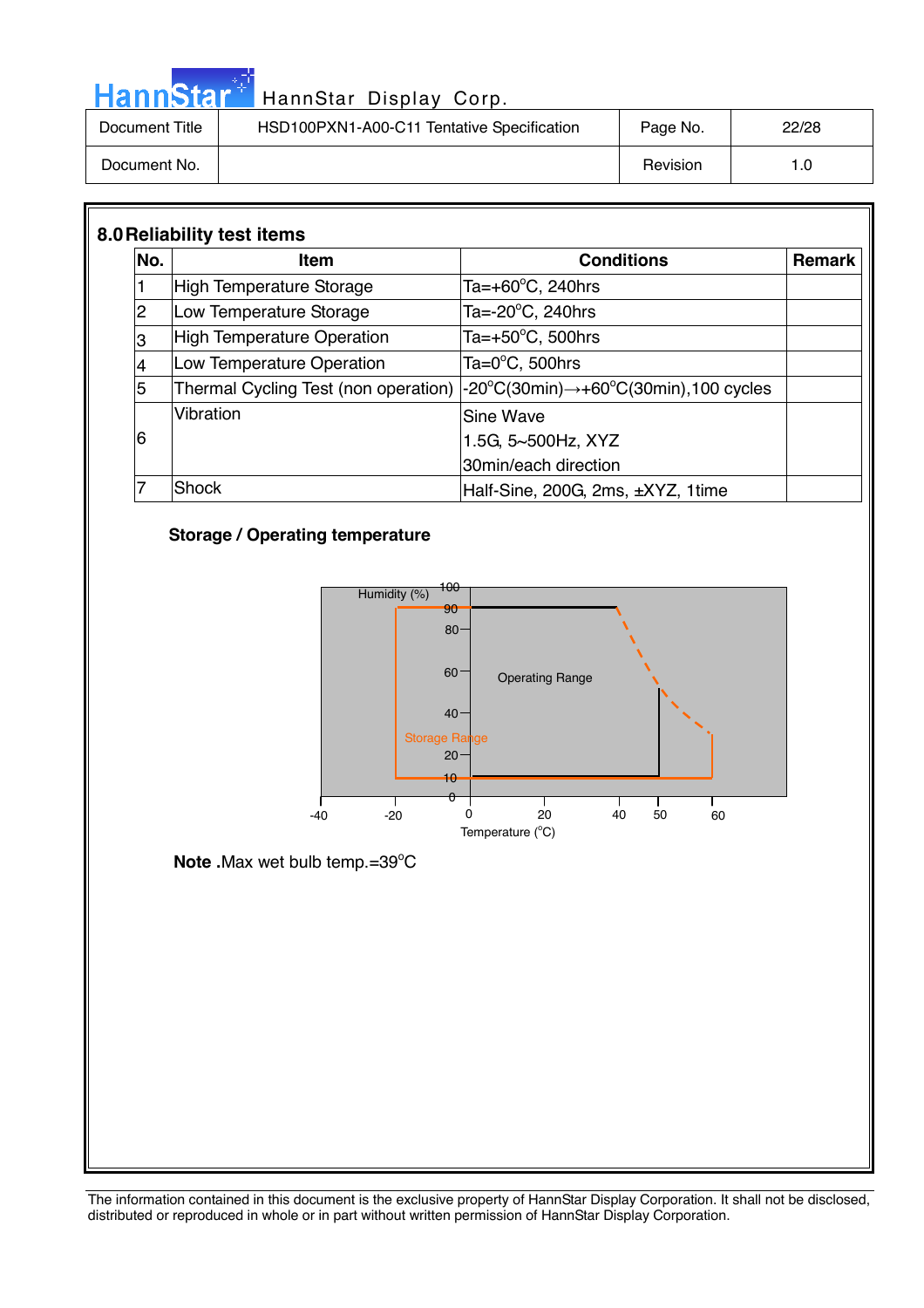| HannStar*      | HannStar Display Corp.                     |          |       |
|----------------|--------------------------------------------|----------|-------|
| Document Title | HSD100PXN1-A00-C11 Tentative Specification | Page No. | 22/28 |
| Document No.   |                                            | Revision | 1.0   |

| No.            | <b>Item</b>                       | <b>Conditions</b>                                                                                                                      | <b>Remark</b> |
|----------------|-----------------------------------|----------------------------------------------------------------------------------------------------------------------------------------|---------------|
|                | High Temperature Storage          | Ta=+60 $\degree$ C, 240hrs                                                                                                             |               |
| $\overline{2}$ | Low Temperature Storage           | Ta= $-20^{\circ}$ C, 240hrs                                                                                                            |               |
| 3              | <b>High Temperature Operation</b> | Ta= $+50^{\circ}$ C, 500hrs                                                                                                            |               |
|                | Low Temperature Operation         | Ta= $0^{\circ}$ C, 500hrs                                                                                                              |               |
| 5              |                                   | Thermal Cycling Test (non operation) $\vert$ -20 $\mathrm{^oC}(30\text{min}) \rightarrow$ +60 $\mathrm{^oC}(30\text{min})$ ,100 cycles |               |
|                | Vibration                         | Sine Wave                                                                                                                              |               |
| 6              |                                   | 1.5G, 5~500Hz, XYZ                                                                                                                     |               |
|                |                                   | 30min/each direction                                                                                                                   |               |
|                | <b>Shock</b>                      | Half-Sine, 200G, 2ms, ±XYZ, 1time                                                                                                      |               |

#### **Storage / Operating temperature**

والمرادي



**Note .**Max wet bulb temp.=39°C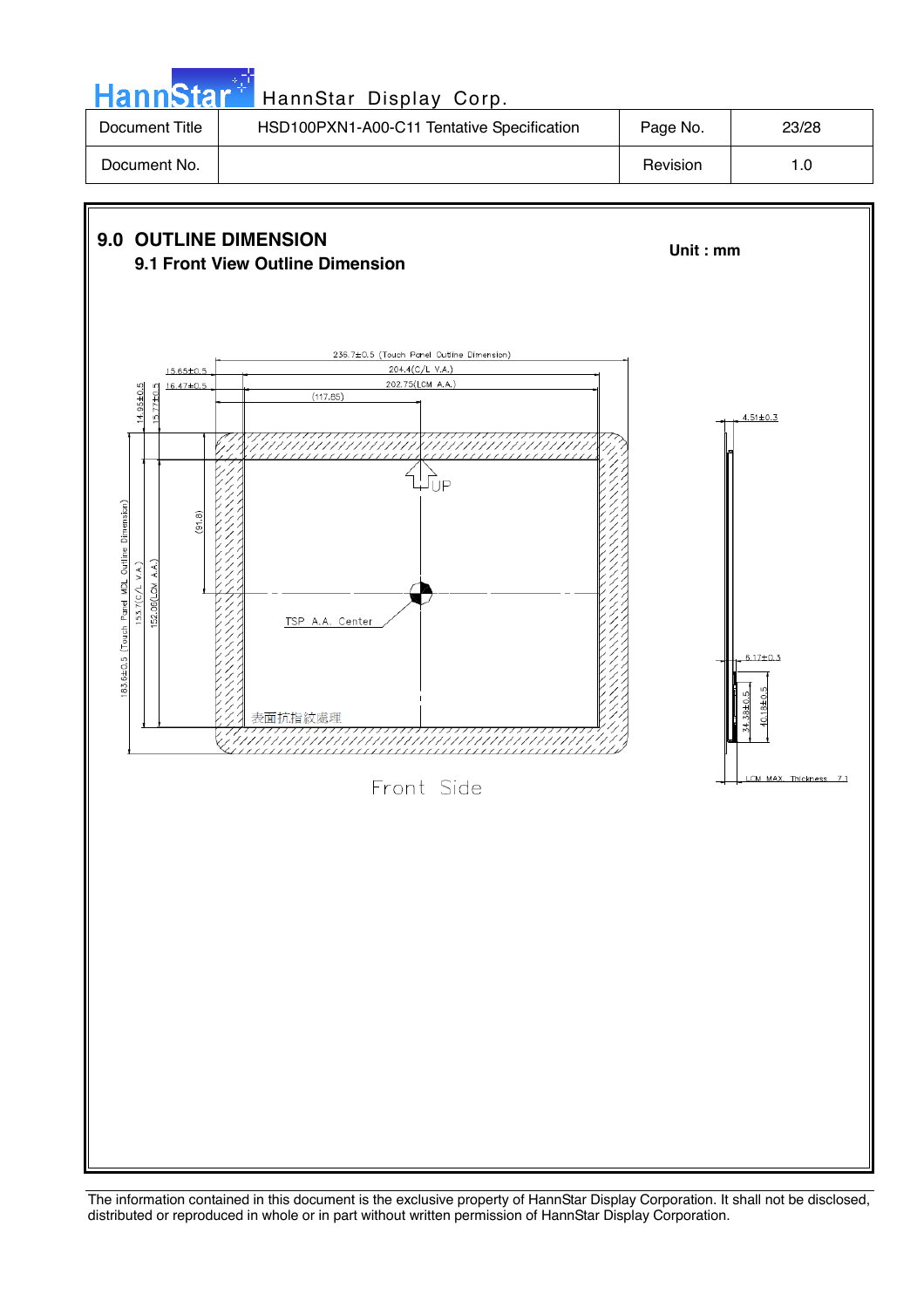| HannStar <sup>++</sup> | HannStar Display Corp.                     |          |       |
|------------------------|--------------------------------------------|----------|-------|
| Document Title         | HSD100PXN1-A00-C11 Tentative Specification | Page No. | 23/28 |
| Document No.           |                                            | Revision | 1.0   |

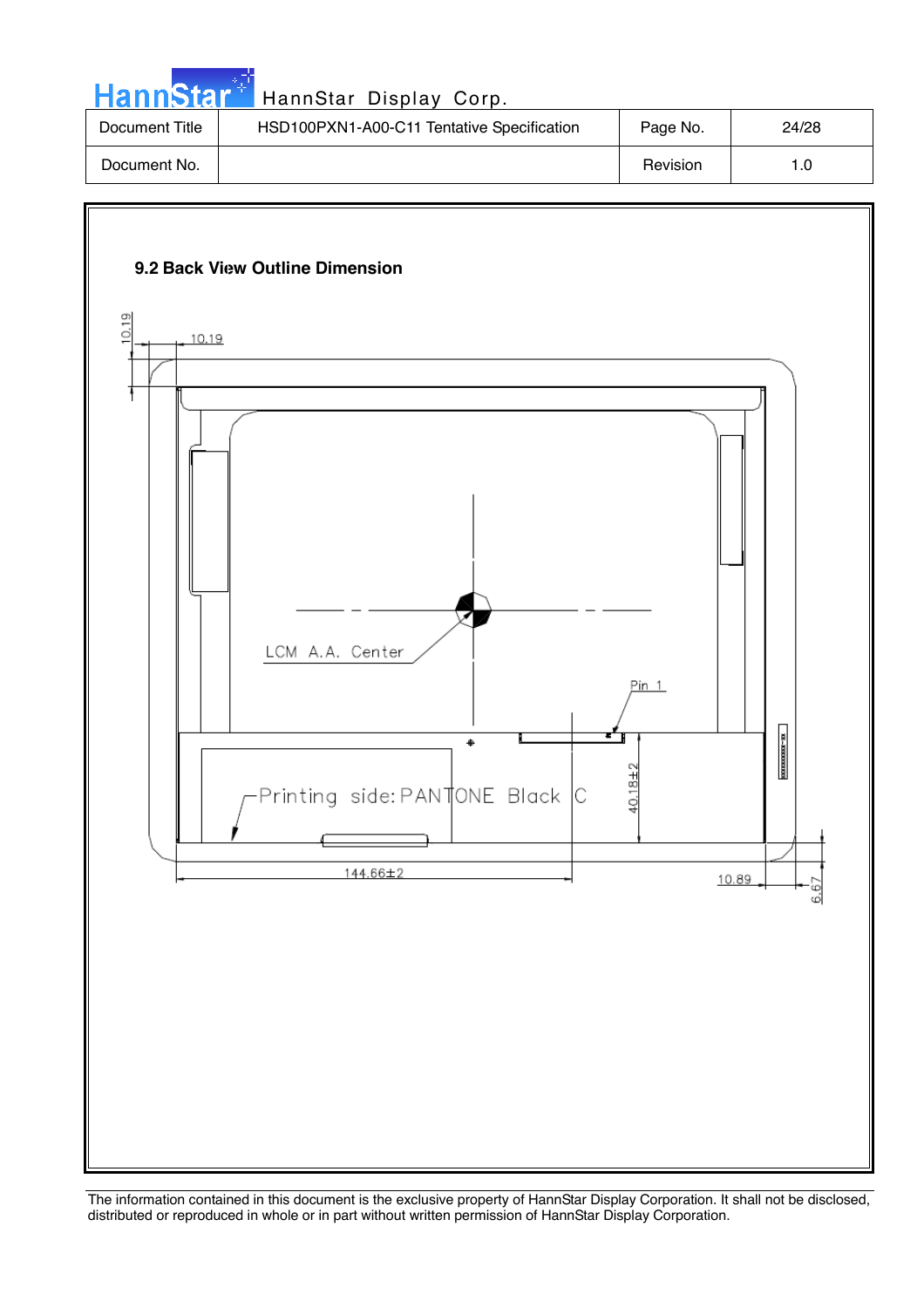| HannStar <sup>*</sup> | HannStar Display Corp.                     |          |       |
|-----------------------|--------------------------------------------|----------|-------|
| Document Title        | HSD100PXN1-A00-C11 Tentative Specification | Page No. | 24/28 |
| Document No.          |                                            | Revision | 1.0   |

والمستند

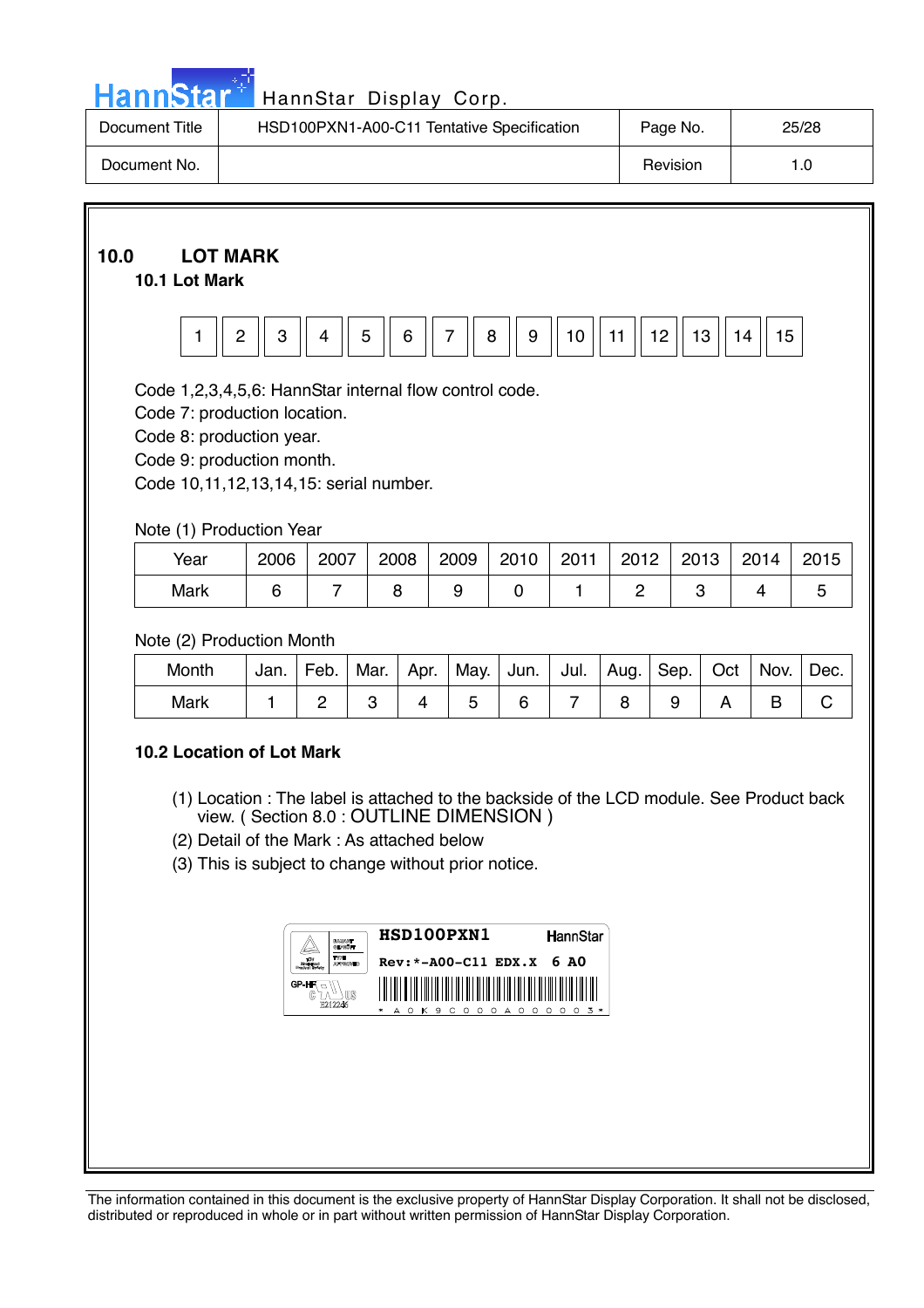

# HannStar<sup>#</sup> HannStar Display Corp.

| Document Title | HSD100PXN1-A00-C11 Tentative Specification | Page No. | 25/28 |
|----------------|--------------------------------------------|----------|-------|
| Document No.   |                                            | Revision | 1.0   |

## **10.0 LOT MARK**

#### **10.1 Lot Mark**



Code 1,2,3,4,5,6: HannStar internal flow control code.

Code 7: production location.

Code 8: production year.

Code 9: production month.

Code 10,11,12,13,14,15: serial number.

#### Note (1) Production Year

| Year | 2006 | 2007 | 2008 | 2009 | 2010 | 2011 | 2012 | 2013 | 2014 | 2015 |
|------|------|------|------|------|------|------|------|------|------|------|
| Mark |      |      |      |      |      |      |      |      |      |      |

#### Note (2) Production Month

| Month | Jan. | Feb. | Mar. | Apr. | May. | $ $ Jun. $ $ Jul. $ $ Aug. $ $ |  | Sep. | Oct | Nov. | Dec. |
|-------|------|------|------|------|------|--------------------------------|--|------|-----|------|------|
| Mark  |      |      |      |      |      |                                |  |      |     |      |      |

#### **10.2 Location of Lot Mark**

- (1) Location : The label is attached to the backside of the LCD module. See Product back view. ( Section 8.0 : OUTLINE DIMENSION )
- (2) Detail of the Mark : As attached below
- (3) This is subject to change without prior notice.

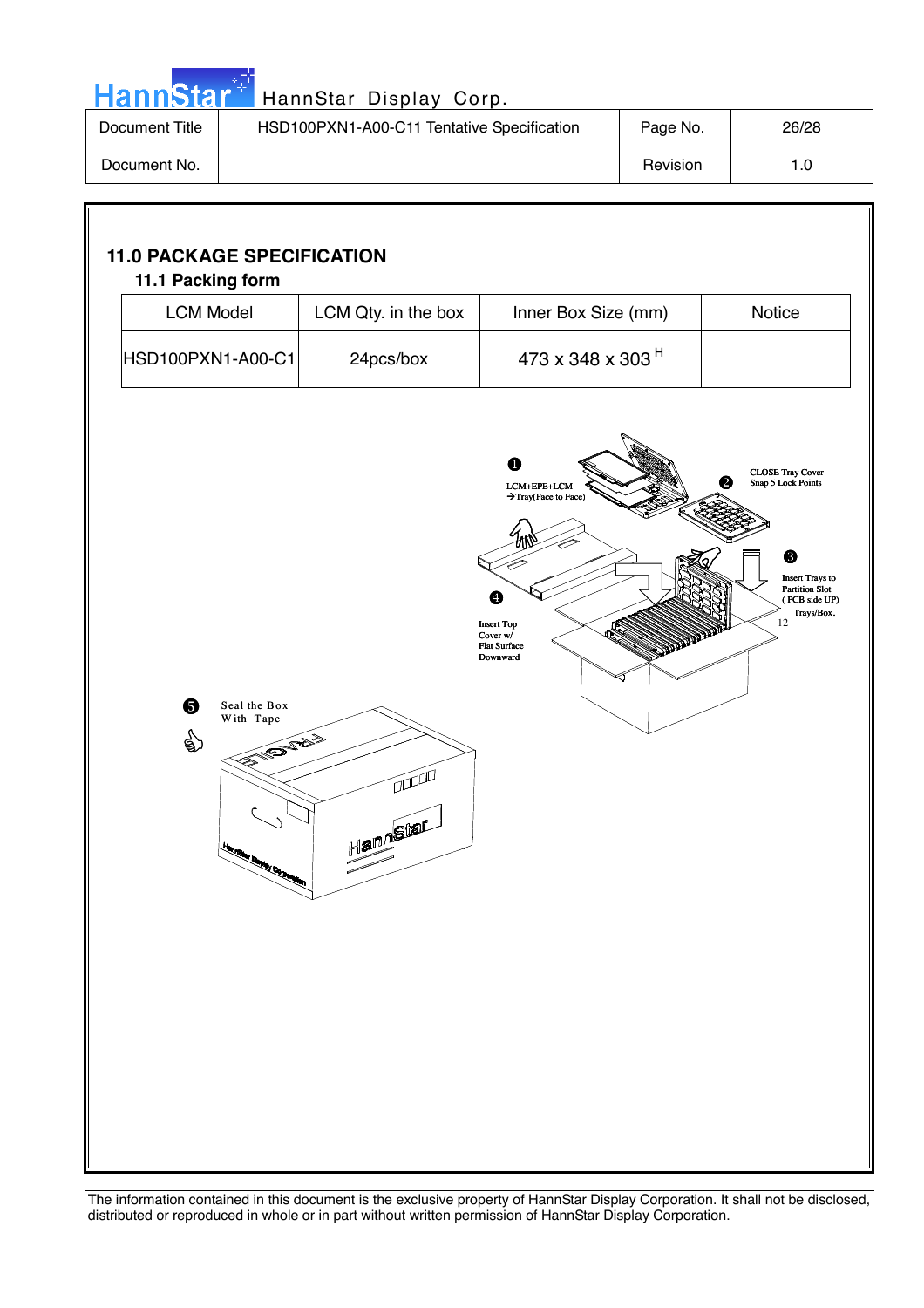|  |  | <b>HannStar</b> * |  |
|--|--|-------------------|--|
|  |  |                   |  |
|  |  |                   |  |

Г

## HannStar Display Corp.

| Document Title | HSD100PXN1-A00-C11 Tentative Specification | Page No. | 26/28 |
|----------------|--------------------------------------------|----------|-------|
| Document No.   |                                            | Revision | 1.0   |

| <b>LCM Model</b>                                                    | LCM Qty. in the box                                                                                                                                                                                                                                                                                                                                             | Inner Box Size (mm)                                                                                                            | Notice                                                                                                                                          |
|---------------------------------------------------------------------|-----------------------------------------------------------------------------------------------------------------------------------------------------------------------------------------------------------------------------------------------------------------------------------------------------------------------------------------------------------------|--------------------------------------------------------------------------------------------------------------------------------|-------------------------------------------------------------------------------------------------------------------------------------------------|
| HSD100PXN1-A00-C1                                                   | 24pcs/box                                                                                                                                                                                                                                                                                                                                                       | 473 x 348 x 303 <sup>H</sup>                                                                                                   |                                                                                                                                                 |
| ❺<br>Seal the Box<br>With Tape<br>☝<br>EN ENERGY<br><b>RALL AND</b> | $\begin{picture}(20,20) \put(0,0){\line(1,0){10}} \put(15,0){\line(1,0){10}} \put(15,0){\line(1,0){10}} \put(15,0){\line(1,0){10}} \put(15,0){\line(1,0){10}} \put(15,0){\line(1,0){10}} \put(15,0){\line(1,0){10}} \put(15,0){\line(1,0){10}} \put(15,0){\line(1,0){10}} \put(15,0){\line(1,0){10}} \put(15,0){\line(1,0){10}} \put(15,0){\line(1$<br>Hannstar | Ω<br>LCM+EPE+LCM<br>→ Tray(Face to Face)<br>$\bullet$<br><b>Insert Top</b><br>Cover w/<br><b>Flat Surface</b><br>Downward<br>ວ | <b>CLOSE Tray Cover</b><br>❷<br>Snap 5 Lock Points<br>❸<br><b>Insert Trays to</b><br><b>Partition Slot</b><br>(PCB side UP)<br>Trays/Box.<br>12 |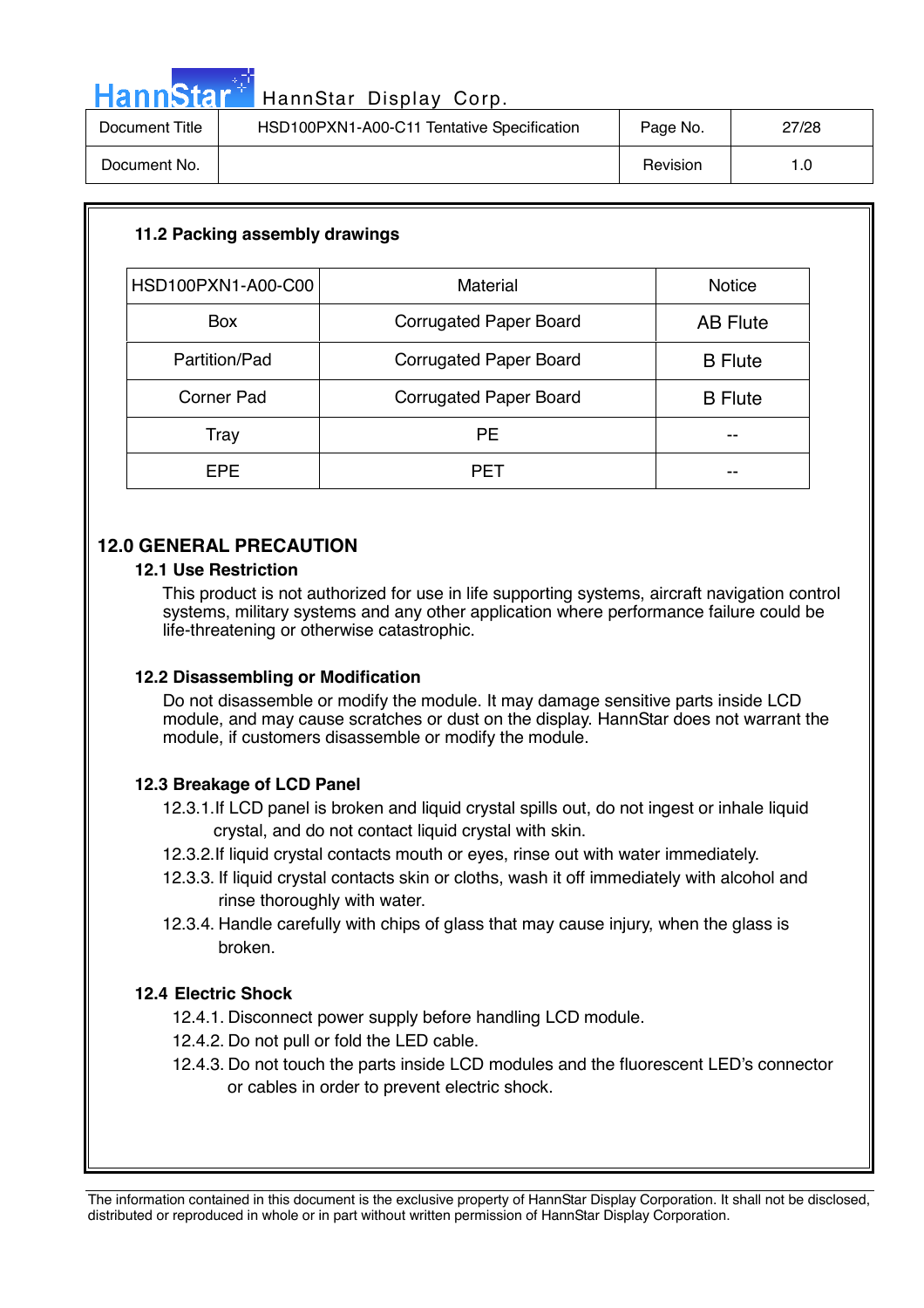| <b>Hannstal</b> | . . |  |  |  |  |  |
|-----------------|-----|--|--|--|--|--|
|-----------------|-----|--|--|--|--|--|

| Document Title | HSD100PXN1-A00-C11 Tentative Specification | Page No. | 27/28 |
|----------------|--------------------------------------------|----------|-------|
| Document No.   |                                            | Revision |       |

| 11.2 Packing assembly drawings                         |                               |                 |  |  |
|--------------------------------------------------------|-------------------------------|-----------------|--|--|
| HSD100PXN1-A00-C00<br><b>Material</b><br><b>Notice</b> |                               |                 |  |  |
|                                                        |                               |                 |  |  |
| <b>Box</b>                                             | <b>Corrugated Paper Board</b> | <b>AB Flute</b> |  |  |
| Partition/Pad                                          | <b>Corrugated Paper Board</b> | <b>B</b> Flute  |  |  |
| <b>Corner Pad</b>                                      | <b>Corrugated Paper Board</b> | <b>B</b> Flute  |  |  |
| Tray                                                   | <b>PE</b>                     | --              |  |  |
| <b>EPE</b>                                             | <b>PET</b>                    | --              |  |  |

#### **12.0 GENERAL PRECAUTION**

#### **12.1 Use Restriction**

This product is not authorized for use in life supporting systems, aircraft navigation control systems, military systems and any other application where performance failure could be life-threatening or otherwise catastrophic.

#### **12.2 Disassembling or Modification**

 Do not disassemble or modify the module. It may damage sensitive parts inside LCD module, and may cause scratches or dust on the display. HannStar does not warrant the module, if customers disassemble or modify the module.

#### **12.3 Breakage of LCD Panel**

12.3.1.If LCD panel is broken and liquid crystal spills out, do not ingest or inhale liquid crystal, and do not contact liquid crystal with skin.

- 12.3.2.If liquid crystal contacts mouth or eyes, rinse out with water immediately.
- 12.3.3. If liquid crystal contacts skin or cloths, wash it off immediately with alcohol and rinse thoroughly with water.
- 12.3.4. Handle carefully with chips of glass that may cause injury, when the glass is broken.

#### **12.4 Electric Shock**

- 12.4.1. Disconnect power supply before handling LCD module.
- 12.4.2. Do not pull or fold the LED cable.
- 12.4.3. Do not touch the parts inside LCD modules and the fluorescent LED's connector or cables in order to prevent electric shock.